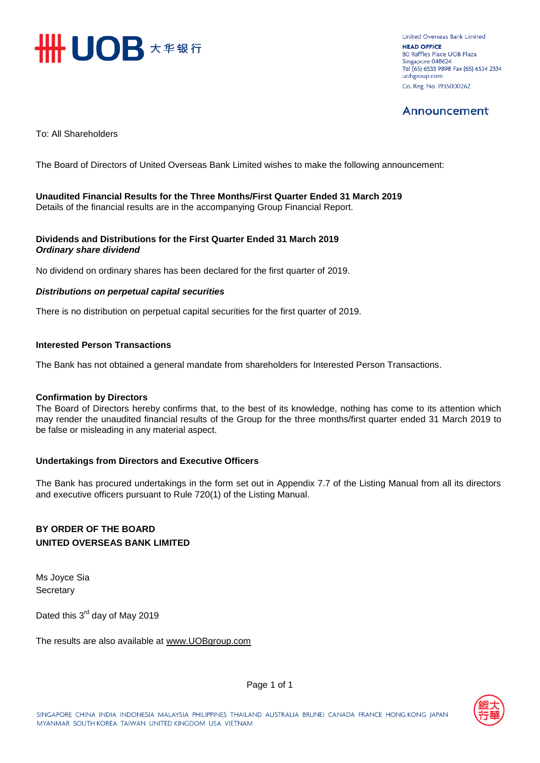

United Overseas Bank Limited **HEAD OFFICE** 80 Raffles Place UOB Plaza Singapore 048624 Tel (65) 6533 9898 Fax (65) 6534 2334 uobgroup.com Co. Reg. No. 193500026Z

# Announcement

To: All Shareholders

The Board of Directors of United Overseas Bank Limited wishes to make the following announcement:

### **Unaudited Financial Results for the Three Months/First Quarter Ended 31 March 2019**  Details of the financial results are in the accompanying Group Financial Report.

### **Dividends and Distributions for the First Quarter Ended 31 March 2019**  *Ordinary share dividend*

No dividend on ordinary shares has been declared for the first quarter of 2019.

### *Distributions on perpetual capital securities*

There is no distribution on perpetual capital securities for the first quarter of 2019.

### **Interested Person Transactions**

The Bank has not obtained a general mandate from shareholders for Interested Person Transactions.

### **Confirmation by Directors**

The Board of Directors hereby confirms that, to the best of its knowledge, nothing has come to its attention which may render the unaudited financial results of the Group for the three months/first quarter ended 31 March 2019 to be false or misleading in any material aspect.

### **Undertakings from Directors and Executive Officers**

The Bank has procured undertakings in the form set out in Appendix 7.7 of the Listing Manual from all its directors and executive officers pursuant to Rule 720(1) of the Listing Manual.

### **BY ORDER OF THE BOARD UNITED OVERSEAS BANK LIMITED**

Ms Joyce Sia **Secretary** 

Dated this 3<sup>rd</sup> day of May 2019

The results are also available at www.UOB[group.com](http://www.uobgroup.com/)



Page 1 of 1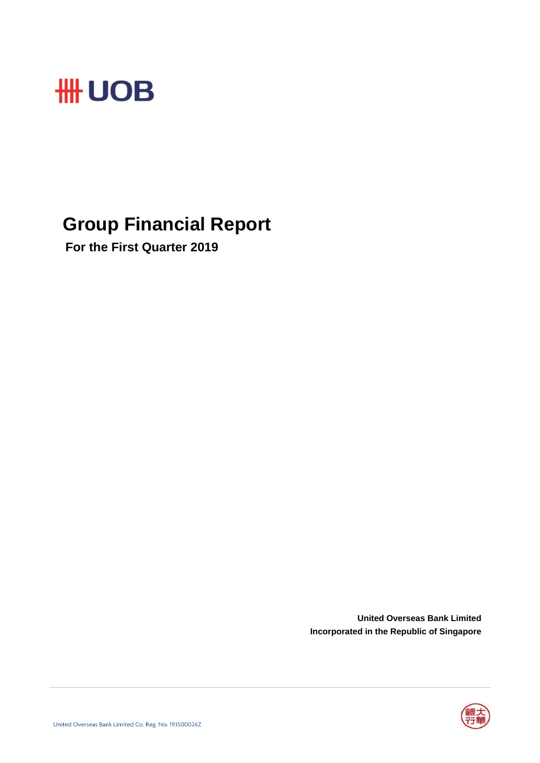

# **Group Financial Report**

 **For the First Quarter 2019**

**United Overseas Bank Limited Incorporated in the Republic of Singapore**

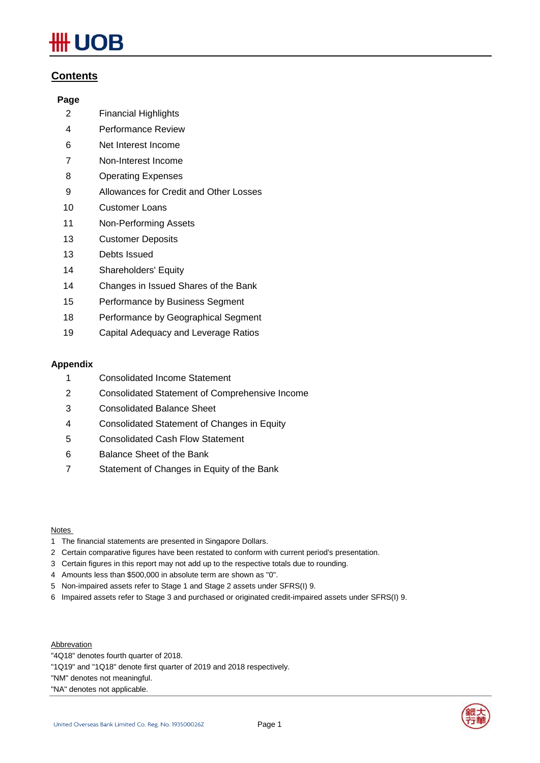# JOB

# **Contents**

### **Page**

- 2 Financial Highlights
- 4 Performance Review
- 6 Net Interest Income
- 7 Non-Interest Income
- 8 Operating Expenses
- 9 Allowances for Credit and Other Losses
- 10 Customer Loans
- 11 Non-Performing Assets
- 13 Customer Deposits
- 13 Debts Issued
- 14 Shareholders' Equity
- 14 Changes in Issued Shares of the Bank
- 15 Performance by Business Segment
- 18 Performance by Geographical Segment
- 19 Capital Adequacy and Leverage Ratios

### **Appendix**

- 1 Consolidated Income Statement
- 2 Consolidated Statement of Comprehensive Income
- 3 Consolidated Balance Sheet
- 4 Consolidated Statement of Changes in Equity
- 5 Consolidated Cash Flow Statement
- 6 Balance Sheet of the Bank
- 7 Statement of Changes in Equity of the Bank

### **Notes**

- 1 The financial statements are presented in Singapore Dollars.
- 2 Certain comparative figures have been restated to conform with current period's presentation.
- 3 Certain figures in this report may not add up to the respective totals due to rounding.
- 4 Amounts less than \$500,000 in absolute term are shown as "0".
- 5 Non-impaired assets refer to Stage 1 and Stage 2 assets under SFRS(I) 9.
- 6 Impaired assets refer to Stage 3 and purchased or originated credit-impaired assets under SFRS(I) 9.

**Abbrevation** 

- "4Q18" denotes fourth quarter of 2018.
- "1Q19" and "1Q18" denote first quarter of 2019 and 2018 respectively.

"NM" denotes not meaningful.

"NA" denotes not applicable.

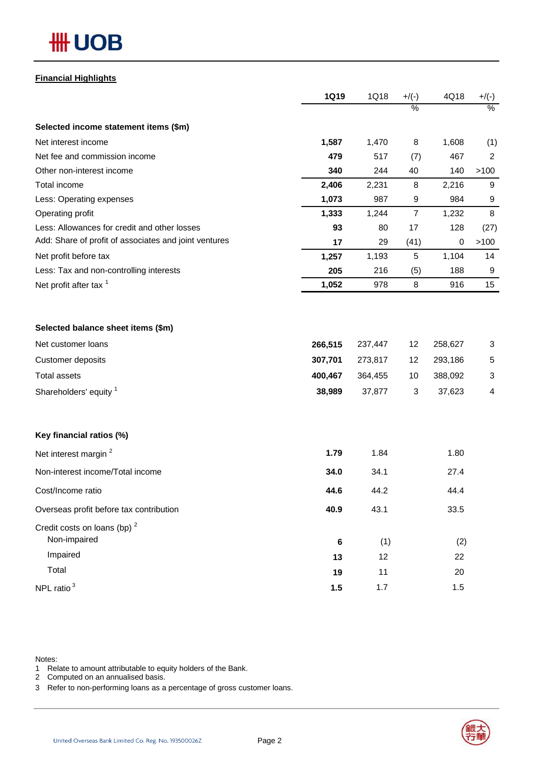### **Financial Highlights**

|                                                       | <b>1Q19</b> | 1Q18    | $+/(-)$          | 4Q18      | $+/(-)$ |
|-------------------------------------------------------|-------------|---------|------------------|-----------|---------|
|                                                       |             |         | $\%$             |           | $\%$    |
| Selected income statement items (\$m)                 |             |         |                  |           |         |
| Net interest income                                   | 1,587       | 1,470   | 8                | 1,608     | (1)     |
| Net fee and commission income                         | 479         | 517     | (7)              | 467       | 2       |
| Other non-interest income                             | 340         | 244     | 40               | 140       | >100    |
| Total income                                          | 2,406       | 2,231   | 8                | 2,216     | 9       |
| Less: Operating expenses                              | 1,073       | 987     | 9                | 984       | 9       |
| Operating profit                                      | 1,333       | 1,244   | $\boldsymbol{7}$ | 1,232     | 8       |
| Less: Allowances for credit and other losses          | 93          | 80      | 17               | 128       | (27)    |
| Add: Share of profit of associates and joint ventures | 17          | 29      | (41)             | $\pmb{0}$ | >100    |
| Net profit before tax                                 | 1,257       | 1,193   | 5                | 1,104     | 14      |
| Less: Tax and non-controlling interests               | 205         | 216     | (5)              | 188       | 9       |
| Net profit after tax <sup>1</sup>                     | 1,052       | 978     | 8                | 916       | 15      |
|                                                       |             |         |                  |           |         |
| Selected balance sheet items (\$m)                    |             |         |                  |           |         |
| Net customer loans                                    | 266,515     | 237,447 | 12               | 258,627   | 3       |
| Customer deposits                                     | 307,701     | 273,817 | 12               | 293,186   | 5       |
| <b>Total assets</b>                                   | 400,467     | 364,455 | 10               | 388,092   | 3       |
| Shareholders' equity 1                                | 38,989      | 37,877  | 3                | 37,623    | 4       |
| Key financial ratios (%)                              |             |         |                  |           |         |
| Net interest margin <sup>2</sup>                      | 1.79        | 1.84    |                  | 1.80      |         |
| Non-interest income/Total income                      | 34.0        | 34.1    |                  | 27.4      |         |
| Cost/Income ratio                                     | 44.6        | 44.2    |                  | 44.4      |         |
| Overseas profit before tax contribution               | 40.9        | 43.1    |                  | 33.5      |         |
| Credit costs on loans (bp) $2$<br>Non-impaired        |             |         |                  |           |         |
| Impaired                                              | $\bf 6$     | (1)     |                  | (2)       |         |
|                                                       | 13          | 12      |                  | 22        |         |
| Total                                                 | 19          | 11      |                  | 20        |         |
| NPL ratio <sup>3</sup>                                | 1.5         | 1.7     |                  | 1.5       |         |

Notes:

1 Relate to amount attributable to equity holders of the Bank.

2 Computed on an annualised basis.

3 Refer to non-performing loans as a percentage of gross customer loans.

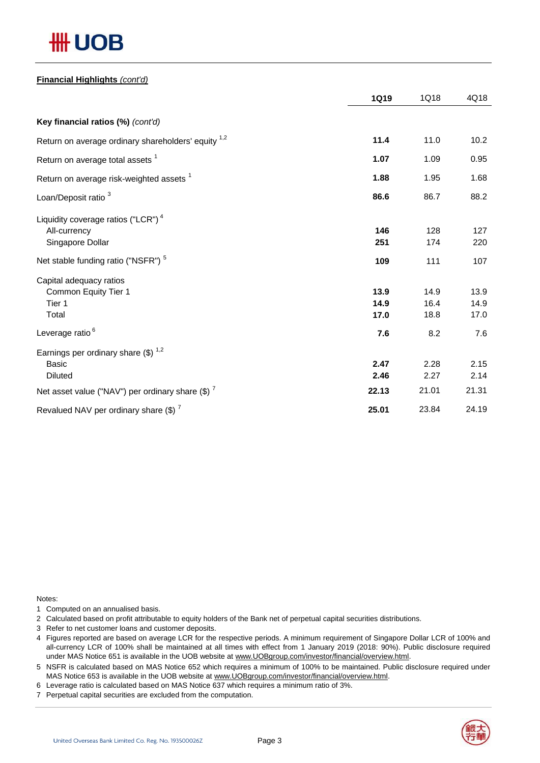# # UOB

### **Financial Highlights** *(cont'd)*

|                                                                            | <b>1Q19</b>          | 1Q18                 | 4Q18                 |
|----------------------------------------------------------------------------|----------------------|----------------------|----------------------|
| Key financial ratios (%) (cont'd)                                          |                      |                      |                      |
| Return on average ordinary shareholders' equity <sup>1,2</sup>             | 11.4                 | 11.0                 | 10.2                 |
| Return on average total assets <sup>1</sup>                                | 1.07                 | 1.09                 | 0.95                 |
| Return on average risk-weighted assets <sup>1</sup>                        | 1.88                 | 1.95                 | 1.68                 |
| Loan/Deposit ratio <sup>3</sup>                                            | 86.6                 | 86.7                 | 88.2                 |
| Liquidity coverage ratios ("LCR") $4$<br>All-currency<br>Singapore Dollar  | 146<br>251           | 128<br>174           | 127<br>220           |
| Net stable funding ratio ("NSFR") <sup>5</sup>                             | 109                  | 111                  | 107                  |
| Capital adequacy ratios<br>Common Equity Tier 1<br>Tier 1<br>Total         | 13.9<br>14.9<br>17.0 | 14.9<br>16.4<br>18.8 | 13.9<br>14.9<br>17.0 |
| Leverage ratio <sup>6</sup>                                                | 7.6                  | 8.2                  | 7.6                  |
| Earnings per ordinary share $(\$)^{1,2}$<br><b>Basic</b><br><b>Diluted</b> | 2.47<br>2.46         | 2.28<br>2.27         | 2.15<br>2.14         |
| Net asset value ("NAV") per ordinary share $(\$)$ $^7$                     | 22.13                | 21.01                | 21.31                |
| Revalued NAV per ordinary share $(\$)$ <sup>7</sup>                        | 25.01                | 23.84                | 24.19                |

Notes:

- 1 Computed on an annualised basis.
- 2 Calculated based on profit attributable to equity holders of the Bank net of perpetual capital securities distributions.
- 3 Refer to net customer loans and customer deposits.
- 4 Figures reported are based on average LCR for the respective periods. A minimum requirement of Singapore Dollar LCR of 100% and all-currency LCR of 100% shall be maintained at all times with effect from 1 January 2019 (2018: 90%). Public disclosure required under MAS Notice 651 is available in the UOB website at www.UOBgroup.com/investor/financial/overview.html.
- 5 NSFR is calculated based on MAS Notice 652 which requires a minimum of 100% to be maintained. Public disclosure required under MAS Notice 653 is available in the UOB website at www.UOBgroup.com/investor/financial/overview.html.
- 6 Leverage ratio is calculated based on MAS Notice 637 which requires a minimum ratio of 3%.
- 7 Perpetual capital securities are excluded from the computation.

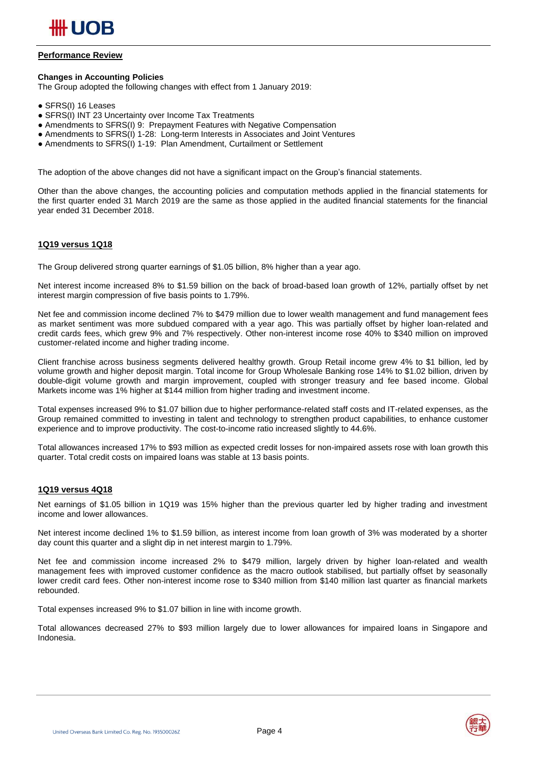

### **Performance Review**

#### **Changes in Accounting Policies**

The Group adopted the following changes with effect from 1 January 2019:

- SFRS(I) 16 Leases
- SFRS(I) INT 23 Uncertainty over Income Tax Treatments
- Amendments to SFRS(I) 9: Prepayment Features with Negative Compensation
- Amendments to SFRS(I) 1-28: Long-term Interests in Associates and Joint Ventures
- Amendments to SFRS(I) 1-19: Plan Amendment, Curtailment or Settlement

The adoption of the above changes did not have a significant impact on the Group's financial statements.

Other than the above changes, the accounting policies and computation methods applied in the financial statements for the first quarter ended 31 March 2019 are the same as those applied in the audited financial statements for the financial year ended 31 December 2018.

### **1Q19 versus 1Q18**

The Group delivered strong quarter earnings of \$1.05 billion, 8% higher than a year ago.

Net interest income increased 8% to \$1.59 billion on the back of broad-based loan growth of 12%, partially offset by net interest margin compression of five basis points to 1.79%.

Net fee and commission income declined 7% to \$479 million due to lower wealth management and fund management fees as market sentiment was more subdued compared with a year ago. This was partially offset by higher loan-related and credit cards fees, which grew 9% and 7% respectively. Other non-interest income rose 40% to \$340 million on improved customer-related income and higher trading income.

Client franchise across business segments delivered healthy growth. Group Retail income grew 4% to \$1 billion, led by volume growth and higher deposit margin. Total income for Group Wholesale Banking rose 14% to \$1.02 billion, driven by double-digit volume growth and margin improvement, coupled with stronger treasury and fee based income. Global Markets income was 1% higher at \$144 million from higher trading and investment income.

Total expenses increased 9% to \$1.07 billion due to higher performance-related staff costs and IT-related expenses, as the Group remained committed to investing in talent and technology to strengthen product capabilities, to enhance customer experience and to improve productivity. The cost-to-income ratio increased slightly to 44.6%.

Total allowances increased 17% to \$93 million as expected credit losses for non-impaired assets rose with loan growth this quarter. Total credit costs on impaired loans was stable at 13 basis points.

#### **1Q19 versus 4Q18**

Net earnings of \$1.05 billion in 1Q19 was 15% higher than the previous quarter led by higher trading and investment income and lower allowances.

Net interest income declined 1% to \$1.59 billion, as interest income from loan growth of 3% was moderated by a shorter day count this quarter and a slight dip in net interest margin to 1.79%.

Net fee and commission income increased 2% to \$479 million, largely driven by higher loan-related and wealth management fees with improved customer confidence as the macro outlook stabilised, but partially offset by seasonally lower credit card fees. Other non-interest income rose to \$340 million from \$140 million last quarter as financial markets rebounded.

Total expenses increased 9% to \$1.07 billion in line with income growth.

Total allowances decreased 27% to \$93 million largely due to lower allowances for impaired loans in Singapore and Indonesia.

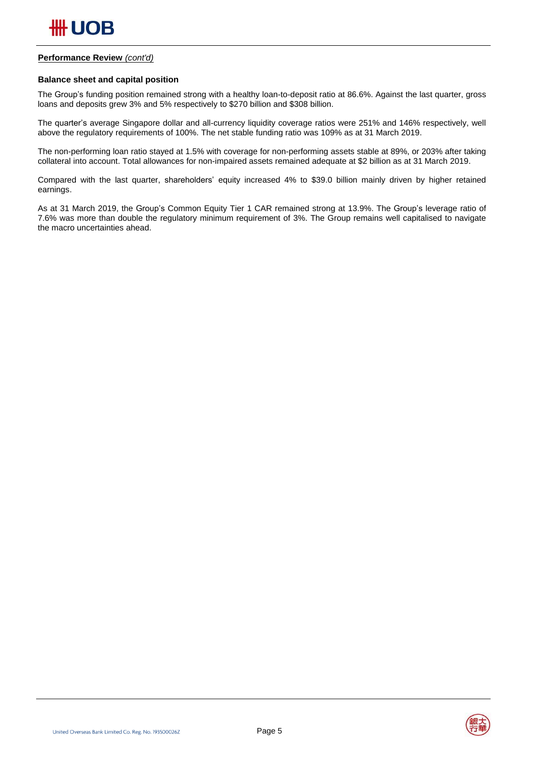

### **Performance Review** *(cont'd)*

### **Balance sheet and capital position**

The Group's funding position remained strong with a healthy loan-to-deposit ratio at 86.6%. Against the last quarter, gross loans and deposits grew 3% and 5% respectively to \$270 billion and \$308 billion.

The quarter's average Singapore dollar and all-currency liquidity coverage ratios were 251% and 146% respectively, well above the regulatory requirements of 100%. The net stable funding ratio was 109% as at 31 March 2019.

The non-performing loan ratio stayed at 1.5% with coverage for non-performing assets stable at 89%, or 203% after taking collateral into account. Total allowances for non-impaired assets remained adequate at \$2 billion as at 31 March 2019.

Compared with the last quarter, shareholders' equity increased 4% to \$39.0 billion mainly driven by higher retained earnings.

As at 31 March 2019, the Group's Common Equity Tier 1 CAR remained strong at 13.9%. The Group's leverage ratio of 7.6% was more than double the regulatory minimum requirement of 3%. The Group remains well capitalised to navigate the macro uncertainties ahead.

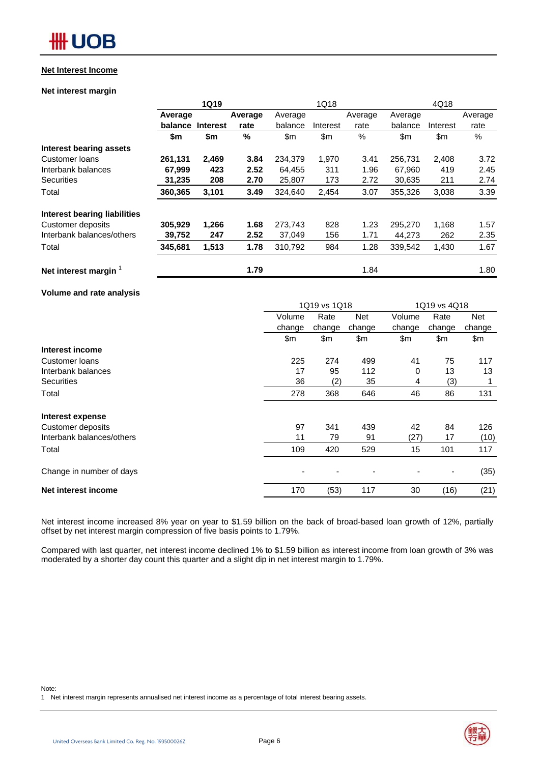#### **Net Interest Income**

### **Net interest margin**

|                                     |         | <b>1Q19</b>     |               |         | 1Q18     |         |         | 4Q18     |         |
|-------------------------------------|---------|-----------------|---------------|---------|----------|---------|---------|----------|---------|
|                                     | Average |                 | Average       | Average |          | Average | Average |          | Average |
|                                     | balance | <b>Interest</b> | rate          | balance | Interest | rate    | balance | Interest | rate    |
|                                     | \$m     | \$m             | $\frac{0}{0}$ | \$m     | \$m\$    | %       | \$m     | \$m      | %       |
| <b>Interest bearing assets</b>      |         |                 |               |         |          |         |         |          |         |
| Customer Ioans                      | 261,131 | 2,469           | 3.84          | 234.379 | 1,970    | 3.41    | 256.731 | 2,408    | 3.72    |
| Interbank balances                  | 67,999  | 423             | 2.52          | 64,455  | 311      | 1.96    | 67,960  | 419      | 2.45    |
| <b>Securities</b>                   | 31,235  | 208             | 2.70          | 25,807  | 173      | 2.72    | 30.635  | 211      | 2.74    |
| Total                               | 360,365 | 3,101           | 3.49          | 324,640 | 2,454    | 3.07    | 355,326 | 3,038    | 3.39    |
| <b>Interest bearing liabilities</b> |         |                 |               |         |          |         |         |          |         |
| Customer deposits                   | 305,929 | 1,266           | 1.68          | 273,743 | 828      | 1.23    | 295,270 | 1,168    | 1.57    |
| Interbank balances/others           | 39,752  | 247             | 2.52          | 37,049  | 156      | 1.71    | 44,273  | 262      | 2.35    |
| Total                               | 345,681 | 1,513           | 1.78          | 310,792 | 984      | 1.28    | 339,542 | 1,430    | 1.67    |
| Net interest margin                 |         |                 | 1.79          |         |          | 1.84    |         |          | 1.80    |

**Volume and rate analysis**

|                           | 1Q19 vs 1Q18 |        |        | 1Q19 vs 4Q18 |                              |        |
|---------------------------|--------------|--------|--------|--------------|------------------------------|--------|
|                           | Volume       | Rate   | Net    | Volume       | Rate                         | Net    |
|                           | change       | change | change | change       | change                       | change |
|                           | \$m\$        | \$m    | \$m    | \$m          | \$m                          | \$m    |
| Interest income           |              |        |        |              |                              |        |
| Customer loans            | 225          | 274    | 499    | 41           | 75                           | 117    |
| Interbank balances        | 17           | 95     | 112    | 0            | 13                           | 13     |
| <b>Securities</b>         | 36           | (2)    | 35     | 4            | (3)                          |        |
| Total                     | 278          | 368    | 646    | 46           | 86                           | 131    |
| Interest expense          |              |        |        |              |                              |        |
| Customer deposits         | 97           | 341    | 439    | 42           | 84                           | 126    |
| Interbank balances/others | 11           | 79     | 91     | (27)         | 17                           | (10)   |
| Total                     | 109          | 420    | 529    | 15           | 101                          | 117    |
| Change in number of days  |              |        |        |              | $\qquad \qquad \blacksquare$ | (35)   |
| Net interest income       | 170          | (53)   | 117    | 30           | (16)                         | (21)   |

Net interest income increased 8% year on year to \$1.59 billion on the back of broad-based loan growth of 12%, partially offset by net interest margin compression of five basis points to 1.79%.

Compared with last quarter, net interest income declined 1% to \$1.59 billion as interest income from loan growth of 3% was moderated by a shorter day count this quarter and a slight dip in net interest margin to 1.79%.

1 Net interest margin represents annualised net interest income as a percentage of total interest bearing assets.

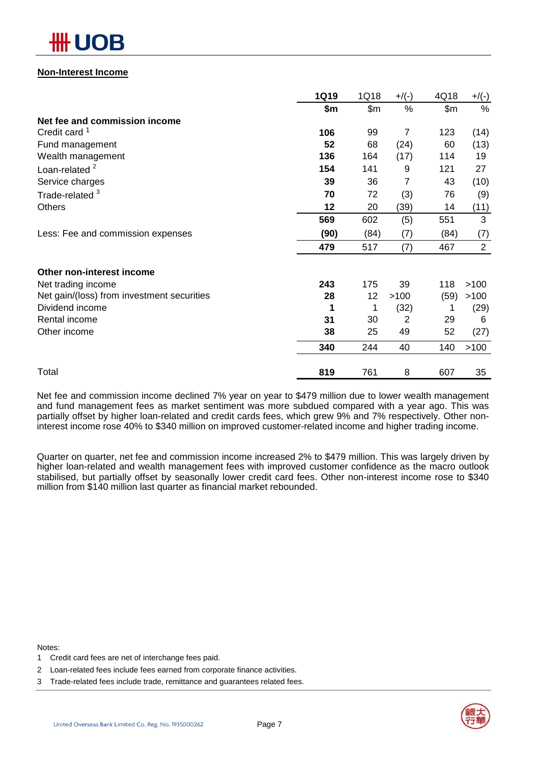### **Non-Interest Income**

|                                            | <b>1Q19</b> | 1Q18  | $+$ /(-) | 4Q18  | $+/(-)$        |
|--------------------------------------------|-------------|-------|----------|-------|----------------|
|                                            | \$m         | \$m\$ | %        | \$m\$ | $\%$           |
| Net fee and commission income              |             |       |          |       |                |
| Credit card <sup>1</sup>                   | 106         | 99    | 7        | 123   | (14)           |
| Fund management                            | 52          | 68    | (24)     | 60    | (13)           |
| Wealth management                          | 136         | 164   | (17)     | 114   | 19             |
| Loan-related <sup>2</sup>                  | 154         | 141   | 9        | 121   | 27             |
| Service charges                            | 39          | 36    | 7        | 43    | (10)           |
| Trade-related <sup>3</sup>                 | 70          | 72    | (3)      | 76    | (9)            |
| <b>Others</b>                              | 12          | 20    | (39)     | 14    | (11)           |
|                                            | 569         | 602   | (5)      | 551   | 3              |
| Less: Fee and commission expenses          | (90)        | (84)  | (7)      | (84)  | (7)            |
|                                            | 479         | 517   | (7)      | 467   | $\overline{2}$ |
| Other non-interest income                  |             |       |          |       |                |
| Net trading income                         | 243         | 175   | 39       | 118   | >100           |
| Net gain/(loss) from investment securities | 28          | 12    | >100     | (59)  | >100           |
| Dividend income                            | 1           | 1     | (32)     | 1     | (29)           |
| Rental income                              | 31          | 30    | 2        | 29    | 6              |
| Other income                               | 38          | 25    | 49       | 52    | (27)           |
|                                            | 340         | 244   | 40       | 140   | >100           |
| Total                                      | 819         | 761   | 8        | 607   | 35             |

Net fee and commission income declined 7% year on year to \$479 million due to lower wealth management and fund management fees as market sentiment was more subdued compared with a year ago. This was partially offset by higher loan-related and credit cards fees, which grew 9% and 7% respectively. Other noninterest income rose 40% to \$340 million on improved customer-related income and higher trading income.

Quarter on quarter, net fee and commission income increased 2% to \$479 million. This was largely driven by higher loan-related and wealth management fees with improved customer confidence as the macro outlook stabilised, but partially offset by seasonally lower credit card fees. Other non-interest income rose to \$340 million from \$140 million last quarter as financial market rebounded.

Notes:

- 1 Credit card fees are net of interchange fees paid.
- 2 Loan-related fees include fees earned from corporate finance activities.
- 3 Trade-related fees include trade, remittance and guarantees related fees.



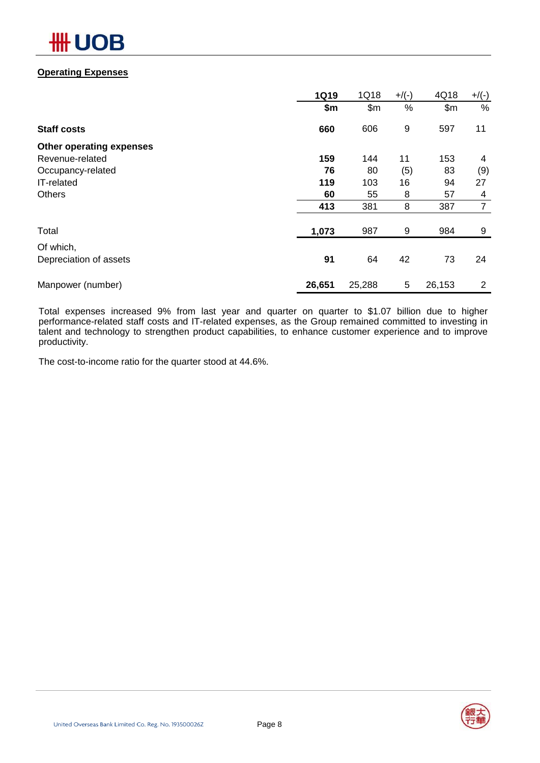# DВ

### **Operating Expenses**

|                          | <b>1Q19</b> | 1Q18   | $+$ /(-) | 4Q18   | $+/(-)$        |
|--------------------------|-------------|--------|----------|--------|----------------|
|                          | \$m         | \$m    | %        | \$m\$  | %              |
| <b>Staff costs</b>       | 660         | 606    | 9        | 597    | 11             |
| Other operating expenses |             |        |          |        |                |
| Revenue-related          | 159         | 144    | 11       | 153    | 4              |
| Occupancy-related        | 76          | 80     | (5)      | 83     | (9)            |
| IT-related               | 119         | 103    | 16       | 94     | 27             |
| <b>Others</b>            | 60          | 55     | 8        | 57     | 4              |
|                          | 413         | 381    | 8        | 387    | $\overline{7}$ |
| Total                    | 1,073       | 987    | 9        | 984    | 9              |
| Of which,                |             |        |          |        |                |
| Depreciation of assets   | 91          | 64     | 42       | 73     | 24             |
| Manpower (number)        | 26,651      | 25,288 | 5        | 26,153 | 2              |

Total expenses increased 9% from last year and quarter on quarter to \$1.07 billion due to higher performance-related staff costs and IT-related expenses, as the Group remained committed to investing in talent and technology to strengthen product capabilities, to enhance customer experience and to improve productivity.

The cost-to-income ratio for the quarter stood at 44.6%.

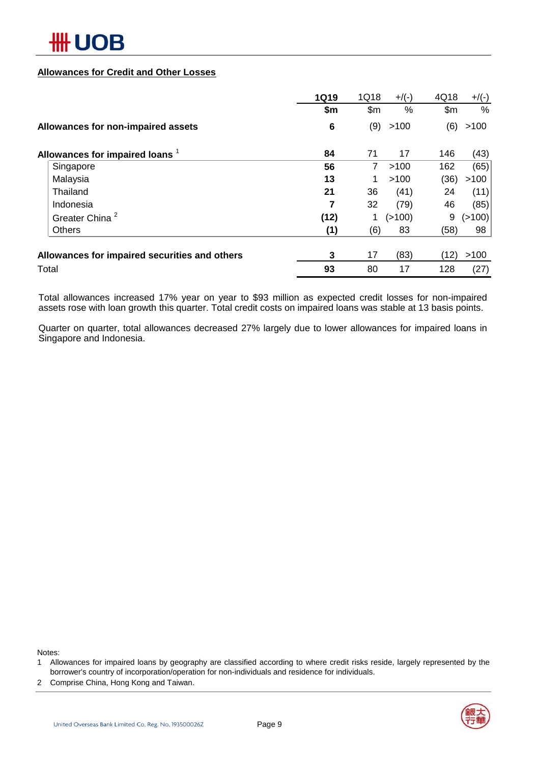

### **Allowances for Credit and Other Losses**

|                                               | <b>1Q19</b>     | 1Q18           | $+$ /(-) | 4Q18  | $+/(-)$ |
|-----------------------------------------------|-----------------|----------------|----------|-------|---------|
|                                               | \$m             | \$m            | %        | \$m\$ | %       |
| Allowances for non-impaired assets            | $6\phantom{1}6$ | (9)            | >100     | (6)   | >100    |
| Allowances for impaired loans 1               | 84              | 71             | 17       | 146   | (43)    |
| Singapore                                     | 56              | $\overline{7}$ | >100     | 162   | (65)    |
| Malaysia                                      | 13              |                | >100     | (36)  | >100    |
| Thailand                                      | 21              | 36             | (41)     | 24    | (11)    |
| Indonesia                                     | 7               | 32             | (79)     | 46    | (85)    |
| Greater China <sup>2</sup>                    | (12)            |                | (>100)   | 9     | (>100)  |
| <b>Others</b>                                 | (1)             | (6)            | 83       | (58)  | 98      |
| Allowances for impaired securities and others | 3               | 17             | (83)     | (12)  | >100    |
| Total                                         | 93              | 80             | 17       | 128   | (27)    |

Total allowances increased 17% year on year to \$93 million as expected credit losses for non-impaired assets rose with loan growth this quarter. Total credit costs on impaired loans was stable at 13 basis points.

Quarter on quarter, total allowances decreased 27% largely due to lower allowances for impaired loans in Singapore and Indonesia.

Notes:

- 1 Allowances for impaired loans by geography are classified according to where credit risks reside, largely represented by the borrower's country of incorporation/operation for non-individuals and residence for individuals.
- 2 Comprise China, Hong Kong and Taiwan.

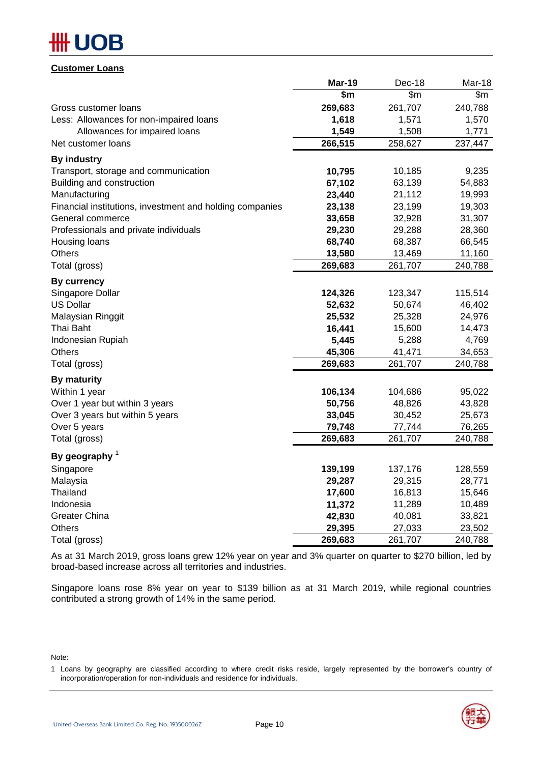# DB

### **Customer Loans**

|                                                          | <b>Mar-19</b> | Dec-18  | Mar-18  |
|----------------------------------------------------------|---------------|---------|---------|
|                                                          | \$m           | \$m\$   | \$m\$   |
| Gross customer loans                                     | 269,683       | 261,707 | 240,788 |
| Less: Allowances for non-impaired loans                  | 1,618         | 1,571   | 1,570   |
| Allowances for impaired loans                            | 1,549         | 1,508   | 1,771   |
| Net customer loans                                       | 266,515       | 258,627 | 237,447 |
| <b>By industry</b>                                       |               |         |         |
| Transport, storage and communication                     | 10,795        | 10,185  | 9,235   |
| Building and construction                                | 67,102        | 63,139  | 54,883  |
| Manufacturing                                            | 23,440        | 21,112  | 19,993  |
| Financial institutions, investment and holding companies | 23,138        | 23,199  | 19,303  |
| General commerce                                         | 33,658        | 32,928  | 31,307  |
| Professionals and private individuals                    | 29,230        | 29,288  | 28,360  |
| Housing loans                                            | 68,740        | 68,387  | 66,545  |
| <b>Others</b>                                            | 13,580        | 13,469  | 11,160  |
| Total (gross)                                            | 269,683       | 261,707 | 240,788 |
| <b>By currency</b>                                       |               |         |         |
| Singapore Dollar                                         | 124,326       | 123,347 | 115,514 |
| <b>US Dollar</b>                                         | 52,632        | 50,674  | 46,402  |
| Malaysian Ringgit                                        | 25,532        | 25,328  | 24,976  |
| Thai Baht                                                | 16,441        | 15,600  | 14,473  |
| Indonesian Rupiah                                        | 5,445         | 5,288   | 4,769   |
| Others                                                   | 45,306        | 41,471  | 34,653  |
| Total (gross)                                            | 269,683       | 261,707 | 240,788 |
| <b>By maturity</b>                                       |               |         |         |
| Within 1 year                                            | 106,134       | 104,686 | 95,022  |
| Over 1 year but within 3 years                           | 50,756        | 48,826  | 43,828  |
| Over 3 years but within 5 years                          | 33,045        | 30,452  | 25,673  |
| Over 5 years                                             | 79,748        | 77,744  | 76,265  |
| Total (gross)                                            | 269,683       | 261,707 | 240,788 |
| By geography $1$                                         |               |         |         |
| Singapore                                                | 139,199       | 137,176 | 128,559 |
| Malaysia                                                 | 29,287        | 29,315  | 28,771  |
| Thailand                                                 | 17,600        | 16,813  | 15,646  |
| Indonesia                                                | 11,372        | 11,289  | 10,489  |
| <b>Greater China</b>                                     | 42,830        | 40,081  | 33,821  |
| <b>Others</b>                                            | 29,395        | 27,033  | 23,502  |
| Total (gross)                                            | 269,683       | 261,707 | 240,788 |

As at 31 March 2019, gross loans grew 12% year on year and 3% quarter on quarter to \$270 billion, led by broad-based increase across all territories and industries.

Singapore loans rose 8% year on year to \$139 billion as at 31 March 2019, while regional countries contributed a strong growth of 14% in the same period.

Note:

<sup>1</sup> Loans by geography are classified according to where credit risks reside, largely represented by the borrower's country of incorporation/operation for non-individuals and residence for individuals.

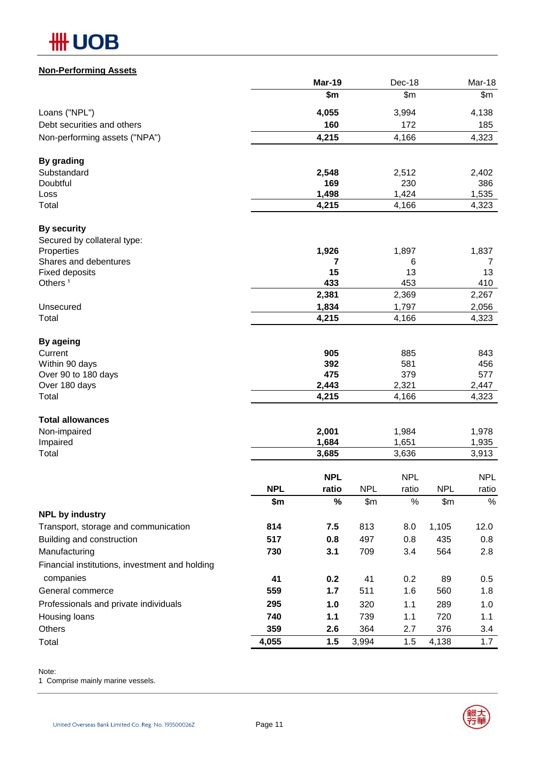# **Non-Performing Assets**

|                                                |            | Mar-19              |            | Dec-18              |            | Mar-18              |
|------------------------------------------------|------------|---------------------|------------|---------------------|------------|---------------------|
|                                                |            | \$m\$               |            | \$m\$               |            | \$m                 |
| Loans ("NPL")                                  |            | 4,055               |            | 3,994               |            | 4,138               |
| Debt securities and others                     |            | 160                 |            | 172                 |            | 185                 |
| Non-performing assets ("NPA")                  |            | 4,215               |            | 4,166               |            | 4,323               |
| By grading                                     |            |                     |            |                     |            |                     |
| Substandard                                    |            | 2,548               |            | 2,512               |            | 2,402               |
| Doubtful                                       |            | 169                 |            | 230                 |            | 386                 |
| Loss                                           |            | 1,498               |            | 1,424               |            | 1,535               |
| Total                                          |            | 4,215               |            | 4,166               |            | 4,323               |
| <b>By security</b>                             |            |                     |            |                     |            |                     |
| Secured by collateral type:                    |            |                     |            |                     |            |                     |
| Properties                                     |            | 1,926               |            | 1,897               |            | 1,837               |
| Shares and debentures<br><b>Fixed deposits</b> |            | 7<br>15             |            | 6<br>13             |            | 7<br>13             |
| Others <sup>1</sup>                            |            | 433                 |            | 453                 |            | 410                 |
|                                                |            | 2,381               |            | 2,369               |            | 2,267               |
| Unsecured                                      |            | 1,834               |            | 1,797               |            | 2,056               |
| Total                                          |            | 4,215               |            | 4,166               |            | 4,323               |
| By ageing                                      |            |                     |            |                     |            |                     |
| Current                                        |            | 905                 |            | 885                 |            | 843                 |
| Within 90 days                                 |            | 392                 |            | 581                 |            | 456                 |
| Over 90 to 180 days                            |            | 475                 |            | 379                 |            | 577                 |
| Over 180 days<br>Total                         |            | 2,443<br>4,215      |            | 2,321<br>4,166      |            | 2,447<br>4,323      |
|                                                |            |                     |            |                     |            |                     |
| <b>Total allowances</b>                        |            |                     |            |                     |            |                     |
| Non-impaired<br>Impaired                       |            | 2,001<br>1,684      |            | 1,984<br>1,651      |            | 1,978<br>1,935      |
| Total                                          |            | 3,685               |            | 3,636               |            | 3,913               |
|                                                |            |                     |            |                     |            |                     |
|                                                | <b>NPL</b> | <b>NPL</b><br>ratio | <b>NPL</b> | <b>NPL</b><br>ratio | <b>NPL</b> | <b>NPL</b><br>ratio |
|                                                | \$m        | $\%$                | \$m\$      | $\%$                | \$m\$      | $\%$                |
| <b>NPL by industry</b>                         |            |                     |            |                     |            |                     |
| Transport, storage and communication           | 814        | 7.5                 | 813        | 8.0                 | 1,105      | 12.0                |
| Building and construction                      | 517        | 0.8                 | 497        | 0.8                 | 435        | 0.8                 |
| Manufacturing                                  | 730        | 3.1                 | 709        | 3.4                 | 564        | 2.8                 |
| Financial institutions, investment and holding |            |                     |            |                     |            |                     |
| companies                                      | 41         | 0.2                 | 41         | 0.2                 | 89         | 0.5                 |
| General commerce                               | 559        | 1.7                 | 511        | 1.6                 | 560        | 1.8                 |
| Professionals and private individuals          | 295        | 1.0                 | 320        | 1.1                 | 289        | 1.0                 |
| Housing loans                                  | 740        | 1.1                 | 739        | 1.1                 | 720        | 1.1                 |
| Others                                         | 359        | 2.6                 | 364        | 2.7                 | 376        | 3.4                 |
| Total                                          | 4,055      | 1.5                 | 3,994      | 1.5                 | 4,138      | 1.7                 |

Note:

1 Comprise mainly marine vessels.



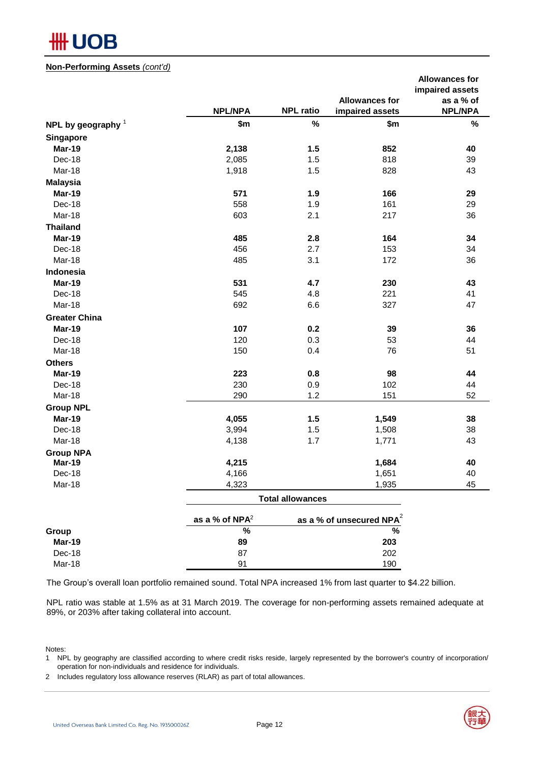

### **Non-Performing Assets** *(cont'd)*

|                                   |                            |                         |                             | <b>Allowances for</b> |
|-----------------------------------|----------------------------|-------------------------|-----------------------------|-----------------------|
|                                   |                            |                         |                             | impaired assets       |
|                                   |                            |                         | <b>Allowances for</b>       | as a % of             |
|                                   | <b>NPL/NPA</b>             | <b>NPL ratio</b>        | impaired assets             | <b>NPL/NPA</b>        |
| NPL by geography $1$              | \$m                        | $\%$                    | \$m                         | $\%$                  |
| Singapore                         |                            |                         |                             |                       |
| Mar-19                            | 2,138                      | 1.5                     | 852                         | 40                    |
| Dec-18                            | 2,085                      | 1.5                     | 818                         | 39                    |
| Mar-18                            | 1,918                      | 1.5                     | 828                         | 43                    |
| <b>Malaysia</b>                   |                            |                         |                             |                       |
| Mar-19                            | 571                        | 1.9                     | 166                         | 29                    |
| Dec-18                            | 558                        | 1.9                     | 161                         | 29                    |
| Mar-18                            | 603                        | 2.1                     | 217                         | 36                    |
| <b>Thailand</b>                   |                            |                         |                             |                       |
| Mar-19                            | 485                        | 2.8                     | 164                         | 34                    |
| Dec-18                            | 456                        | 2.7                     | 153                         | 34                    |
| Mar-18                            | 485                        | 3.1                     | 172                         | 36                    |
| Indonesia                         |                            |                         |                             |                       |
| Mar-19                            | 531                        | 4.7                     | 230                         | 43                    |
| Dec-18                            | 545                        | 4.8                     | 221                         | 41                    |
| Mar-18                            | 692                        | 6.6                     | 327                         | 47                    |
| <b>Greater China</b>              |                            |                         |                             |                       |
| Mar-19                            | 107                        | 0.2                     | 39                          | 36                    |
| Dec-18                            | 120                        | 0.3                     | 53                          | 44                    |
| Mar-18                            | 150                        | 0.4                     | 76                          | 51                    |
| <b>Others</b>                     |                            |                         |                             |                       |
| Mar-19                            | 223                        | 0.8                     | 98                          | 44                    |
| Dec-18                            | 230                        | 0.9                     | 102                         | 44                    |
| Mar-18                            | 290                        | 1.2                     | 151                         | 52                    |
|                                   |                            |                         |                             |                       |
| <b>Group NPL</b><br>Mar-19        |                            |                         |                             |                       |
|                                   | 4,055                      | 1.5                     | 1,549                       | 38<br>38              |
| Dec-18<br>Mar-18                  | 3,994<br>4,138             | 1.5<br>1.7              | 1,508                       | 43                    |
|                                   |                            |                         | 1,771                       |                       |
| <b>Group NPA</b><br><b>Mar-19</b> | 4,215                      |                         | 1,684                       | 40                    |
| Dec-18                            | 4,166                      |                         | 1,651                       | 40                    |
| Mar-18                            | 4,323                      |                         | 1,935                       | 45                    |
|                                   |                            |                         |                             |                       |
|                                   |                            | <b>Total allowances</b> |                             |                       |
|                                   | as a % of NPA <sup>2</sup> |                         | as a % of unsecured $NPA^2$ |                       |
| Group                             | $\frac{9}{6}$              |                         | $\frac{9}{6}$               |                       |
| Mar-19                            | 89                         |                         | 203                         |                       |
| Dec-18                            | 87                         |                         | 202                         |                       |
| Mar-18                            | 91                         |                         | 190                         |                       |

The Group's overall loan portfolio remained sound. Total NPA increased 1% from last quarter to \$4.22 billion.

NPL ratio was stable at 1.5% as at 31 March 2019. The coverage for non-performing assets remained adequate at 89%, or 203% after taking collateral into account.

#### Notes:

- 1 NPL by geography are classified according to where credit risks reside, largely represented by the borrower's country of incorporation/ operation for non-individuals and residence for individuals.
- 2 Includes regulatory loss allowance reserves (RLAR) as part of total allowances.



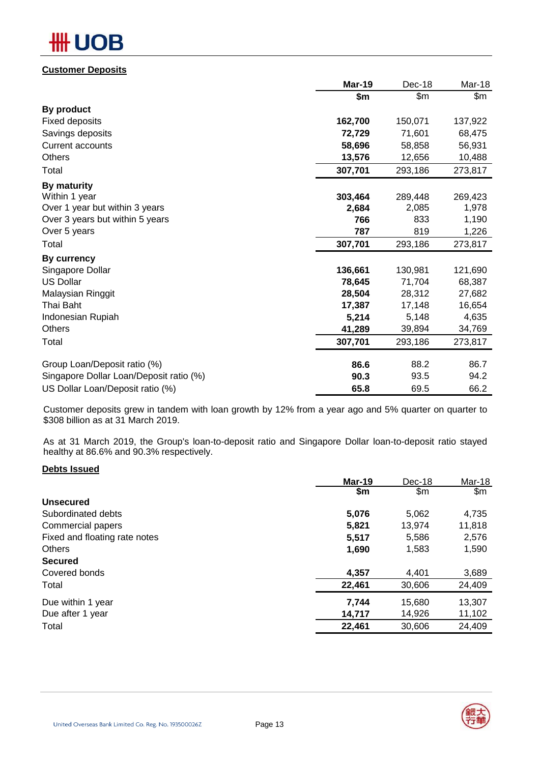# **OB**

# **Customer Deposits**

|                                         | <b>Mar-19</b> | Dec-18  | Mar-18  |
|-----------------------------------------|---------------|---------|---------|
|                                         | \$m           | \$m     | \$m     |
| By product                              |               |         |         |
| <b>Fixed deposits</b>                   | 162,700       | 150,071 | 137,922 |
| Savings deposits                        | 72,729        | 71,601  | 68,475  |
| <b>Current accounts</b>                 | 58,696        | 58,858  | 56,931  |
| Others                                  | 13,576        | 12,656  | 10,488  |
| Total                                   | 307,701       | 293,186 | 273,817 |
| By maturity                             |               |         |         |
| Within 1 year                           | 303,464       | 289,448 | 269,423 |
| Over 1 year but within 3 years          | 2,684         | 2,085   | 1,978   |
| Over 3 years but within 5 years         | 766           | 833     | 1,190   |
| Over 5 years                            | 787           | 819     | 1,226   |
| Total                                   | 307,701       | 293,186 | 273,817 |
| <b>By currency</b>                      |               |         |         |
| Singapore Dollar                        | 136,661       | 130,981 | 121,690 |
| <b>US Dollar</b>                        | 78,645        | 71,704  | 68,387  |
| Malaysian Ringgit                       | 28,504        | 28,312  | 27,682  |
| Thai Baht                               | 17,387        | 17,148  | 16,654  |
| Indonesian Rupiah                       | 5,214         | 5,148   | 4,635   |
| Others                                  | 41,289        | 39,894  | 34,769  |
| Total                                   | 307,701       | 293,186 | 273,817 |
| Group Loan/Deposit ratio (%)            | 86.6          | 88.2    | 86.7    |
| Singapore Dollar Loan/Deposit ratio (%) | 90.3          | 93.5    | 94.2    |
| US Dollar Loan/Deposit ratio (%)        | 65.8          | 69.5    | 66.2    |

Customer deposits grew in tandem with loan growth by 12% from a year ago and 5% quarter on quarter to \$308 billion as at 31 March 2019.

As at 31 March 2019, the Group's loan-to-deposit ratio and Singapore Dollar loan-to-deposit ratio stayed healthy at 86.6% and 90.3% respectively.

### **Debts Issued**

|                               | Mar-19 | Dec-18 | Mar-18 |
|-------------------------------|--------|--------|--------|
|                               | \$m    | \$m    | \$m\$  |
| <b>Unsecured</b>              |        |        |        |
| Subordinated debts            | 5,076  | 5,062  | 4,735  |
| Commercial papers             | 5,821  | 13,974 | 11,818 |
| Fixed and floating rate notes | 5,517  | 5,586  | 2,576  |
| <b>Others</b>                 | 1,690  | 1,583  | 1,590  |
| <b>Secured</b>                |        |        |        |
| Covered bonds                 | 4,357  | 4,401  | 3,689  |
| Total                         | 22,461 | 30,606 | 24,409 |
| Due within 1 year             | 7,744  | 15,680 | 13,307 |
| Due after 1 year              | 14,717 | 14,926 | 11,102 |
| Total                         | 22,461 | 30,606 | 24,409 |
|                               |        |        |        |

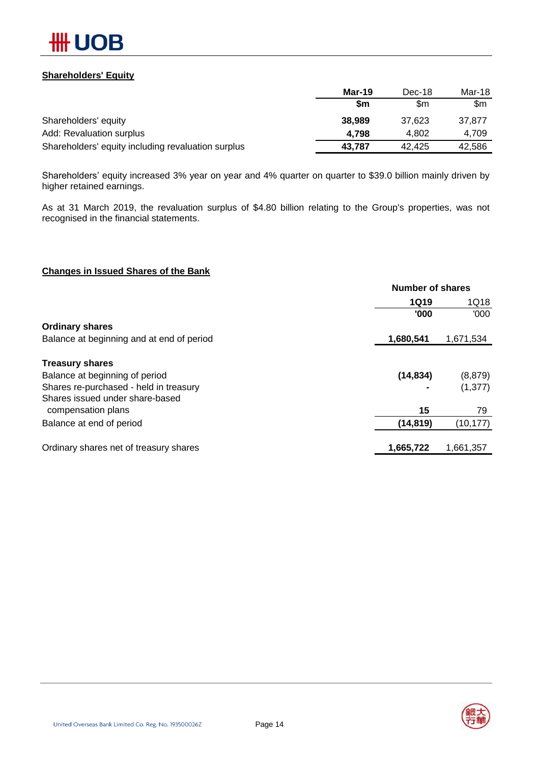

### **Shareholders' Equity**

|                                                    | Mar-19 | Dec-18 | Mar-18 |
|----------------------------------------------------|--------|--------|--------|
|                                                    | \$m    | \$m    | \$m    |
| Shareholders' equity                               | 38,989 | 37.623 | 37.877 |
| Add: Revaluation surplus                           | 4.798  | 4.802  | 4.709  |
| Shareholders' equity including revaluation surplus | 43,787 | 42.425 | 42,586 |

Shareholders' equity increased 3% year on year and 4% quarter on quarter to \$39.0 billion mainly driven by higher retained earnings.

As at 31 March 2019, the revaluation surplus of \$4.80 billion relating to the Group's properties, was not recognised in the financial statements.

### **Changes in Issued Shares of the Bank**

|                                           | <b>Number of shares</b> |           |
|-------------------------------------------|-------------------------|-----------|
|                                           | <b>1Q19</b>             | 1Q18      |
|                                           | '000                    | '000'     |
| <b>Ordinary shares</b>                    |                         |           |
| Balance at beginning and at end of period | 1,680,541               | 1,671,534 |
| <b>Treasury shares</b>                    |                         |           |
| Balance at beginning of period            | (14, 834)               | (8, 879)  |
| Shares re-purchased - held in treasury    |                         | (1, 377)  |
| Shares issued under share-based           |                         |           |
| compensation plans                        | 15                      | 79        |
| Balance at end of period                  | (14, 819)               | (10, 177) |
| Ordinary shares net of treasury shares    | 1,665,722               | 1,661,357 |

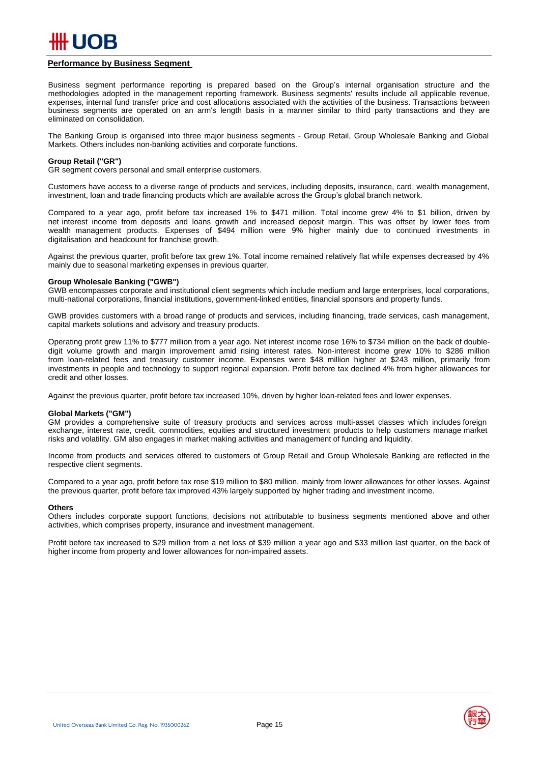

#### **Performance by Business Segment**

Business segment performance reporting is prepared based on the Group's internal organisation structure and the methodologies adopted in the management reporting framework. Business segments' results include all applicable revenue, expenses, internal fund transfer price and cost allocations associated with the activities of the business. Transactions between business segments are operated on an arm's length basis in a manner similar to third party transactions and they are eliminated on consolidation.

The Banking Group is organised into three major business segments - Group Retail, Group Wholesale Banking and Global Markets. Others includes non-banking activities and corporate functions.

#### **Group Retail ("GR")**

GR segment covers personal and small enterprise customers.

Customers have access to a diverse range of products and services, including deposits, insurance, card, wealth management, investment, loan and trade financing products which are available across the Group's global branch network.

Compared to a year ago, profit before tax increased 1% to \$471 million. Total income grew 4% to \$1 billion, driven by net interest income from deposits and loans growth and increased deposit margin. This was offset by lower fees from wealth management products. Expenses of \$494 million were 9% higher mainly due to continued investments in digitalisation and headcount for franchise growth.

Against the previous quarter, profit before tax grew 1%. Total income remained relatively flat while expenses decreased by 4% mainly due to seasonal marketing expenses in previous quarter.

#### **Group Wholesale Banking ("GWB")**

GWB encompasses corporate and institutional client segments which include medium and large enterprises, local corporations, multi-national corporations, financial institutions, government-linked entities, financial sponsors and property funds.

GWB provides customers with a broad range of products and services, including financing, trade services, cash management, capital markets solutions and advisory and treasury products.

Operating profit grew 11% to \$777 million from a year ago. Net interest income rose 16% to \$734 million on the back of doubledigit volume growth and margin improvement amid rising interest rates. Non-interest income grew 10% to \$286 million from loan-related fees and treasury customer income. Expenses were \$48 million higher at \$243 million, primarily from investments in people and technology to support regional expansion. Profit before tax declined 4% from higher allowances for credit and other losses.

Against the previous quarter, profit before tax increased 10%, driven by higher loan-related fees and lower expenses.

#### **Global Markets ("GM")**

GM provides a comprehensive suite of treasury products and services across multi-asset classes which includes foreign exchange, interest rate, credit, commodities, equities and structured investment products to help customers manage market risks and volatility. GM also engages in market making activities and management of funding and liquidity.

Income from products and services offered to customers of Group Retail and Group Wholesale Banking are reflected in the respective client segments.

Compared to a year ago, profit before tax rose \$19 million to \$80 million, mainly from lower allowances for other losses. Against the previous quarter, profit before tax improved 43% largely supported by higher trading and investment income.

#### **Others**

Others includes corporate support functions, decisions not attributable to business segments mentioned above and other activities, which comprises property, insurance and investment management.

Profit before tax increased to \$29 million from a net loss of \$39 million a year ago and \$33 million last quarter, on the back of higher income from property and lower allowances for non-impaired assets.

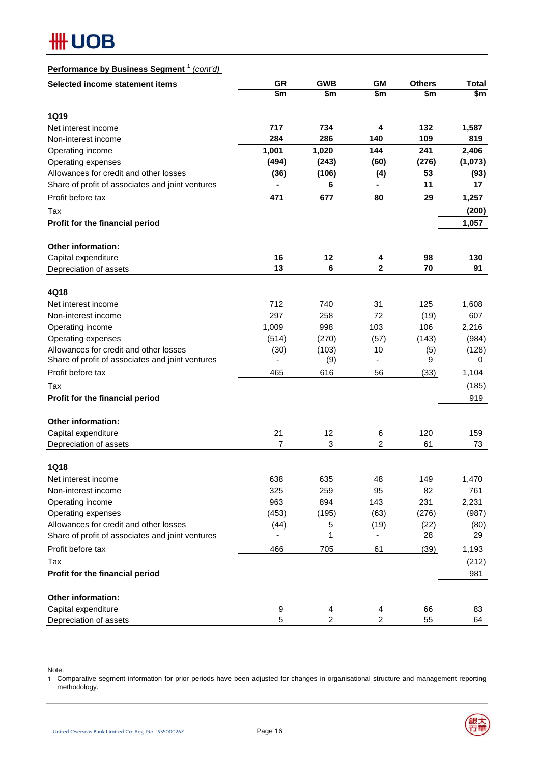### **Performance by Business Segment** <sup>1</sup> *(cont'd)*

| Selected income statement items                              | <b>GR</b><br>\$m | <b>GWB</b><br>\$m | <b>GM</b><br>\$m         | <b>Others</b><br>\$m | <b>Total</b><br>\$m |
|--------------------------------------------------------------|------------------|-------------------|--------------------------|----------------------|---------------------|
|                                                              |                  |                   |                          |                      |                     |
| <b>1Q19</b>                                                  |                  |                   |                          |                      |                     |
| Net interest income                                          | 717              | 734               | 4                        | 132                  | 1,587               |
| Non-interest income                                          | 284              | 286               | 140                      | 109                  | 819                 |
| Operating income                                             | 1,001            | 1,020             | 144                      | 241                  | 2,406               |
| Operating expenses<br>Allowances for credit and other losses | (494)            | (243)             | (60)                     | (276)<br>53          | (1,073)             |
| Share of profit of associates and joint ventures             | (36)             | (106)<br>6        | (4)<br>-                 | 11                   | (93)<br>17          |
| Profit before tax                                            | 471              |                   | 80                       |                      |                     |
|                                                              |                  | 677               |                          | 29                   | 1,257               |
| Tax                                                          |                  |                   |                          |                      | (200)               |
| Profit for the financial period                              |                  |                   |                          |                      | 1,057               |
| Other information:                                           |                  |                   |                          |                      |                     |
| Capital expenditure                                          | 16               | 12                | 4                        | 98                   | 130                 |
| Depreciation of assets                                       | 13               | 6                 | $\mathbf{2}$             | 70                   | 91                  |
|                                                              |                  |                   |                          |                      |                     |
| 4Q18<br>Net interest income                                  | 712              | 740               | 31                       | 125                  | 1,608               |
| Non-interest income                                          | 297              | 258               | 72                       | (19)                 | 607                 |
| Operating income                                             | 1,009            | 998               | 103                      | 106                  | 2,216               |
| Operating expenses                                           | (514)            | (270)             | (57)                     | (143)                | (984)               |
| Allowances for credit and other losses                       | (30)             | (103)             | 10                       | (5)                  | (128)               |
| Share of profit of associates and joint ventures             | $\frac{1}{2}$    | (9)               | $\overline{\phantom{a}}$ | 9                    | 0                   |
| Profit before tax                                            | 465              | 616               | 56                       | (33)                 | 1,104               |
| Tax                                                          |                  |                   |                          |                      | (185)               |
| Profit for the financial period                              |                  |                   |                          |                      | 919                 |
| <b>Other information:</b>                                    |                  |                   |                          |                      |                     |
| Capital expenditure                                          | 21               | 12                | 6                        | 120                  | 159                 |
| Depreciation of assets                                       | $\overline{7}$   | 3                 | $\overline{2}$           | 61                   | 73                  |
|                                                              |                  |                   |                          |                      |                     |
| <b>1Q18</b>                                                  |                  |                   |                          |                      |                     |
| Net interest income                                          | 638              | 635               | 48                       | 149                  | 1,470               |
| Non-interest income                                          | 325              | 259               | 95                       | 82                   | 761                 |
| Operating income                                             | 963              | 894               | 143                      | 231                  | 2,231               |
| Operating expenses<br>Allowances for credit and other losses | (453)            | (195)             | (63)                     | (276)                | (987)               |
| Share of profit of associates and joint ventures             | (44)             | 5<br>1            | (19)                     | (22)<br>28           | (80)<br>29          |
| Profit before tax                                            | 466              | 705               | 61                       | (39)                 | 1,193               |
| Tax                                                          |                  |                   |                          |                      | (212)               |
| Profit for the financial period                              |                  |                   |                          |                      | 981                 |
| Other information:                                           |                  |                   |                          |                      |                     |
| Capital expenditure                                          | 9                | 4                 | 4                        | 66                   | 83                  |
| Depreciation of assets                                       | 5                | $\overline{c}$    | 2                        | 55                   | 64                  |

Note:

1 Comparative segment information for prior periods have been adjusted for changes in organisational structure and management reporting methodology.

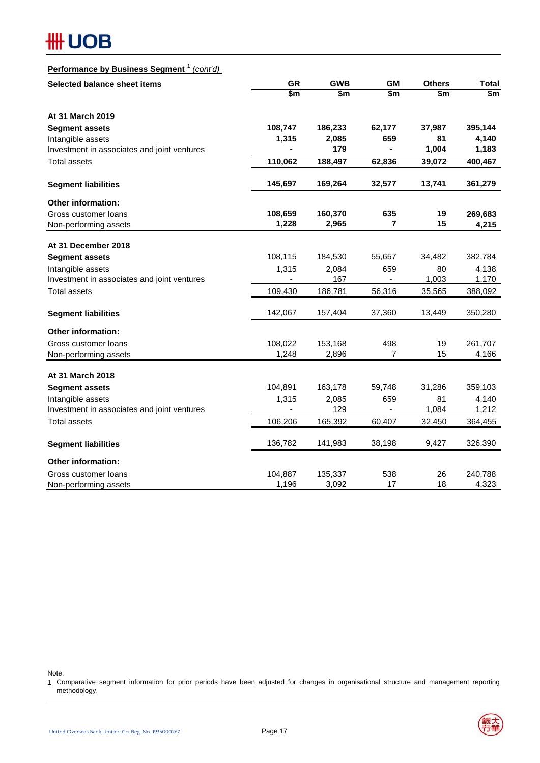### **Performance by Business Segment** <sup>1</sup> *(cont'd)*

| Selected balance sheet items                | <b>GR</b> | <b>GWB</b> | <b>GM</b>      | <b>Others</b> | <b>Total</b>  |
|---------------------------------------------|-----------|------------|----------------|---------------|---------------|
|                                             | \$m       | \$m        | \$m            | \$m           | $\frac{2}{3}$ |
| At 31 March 2019                            |           |            |                |               |               |
| <b>Segment assets</b>                       | 108,747   | 186,233    | 62,177         | 37,987        | 395,144       |
| Intangible assets                           | 1,315     | 2,085      | 659            | 81            | 4,140         |
| Investment in associates and joint ventures |           | 179        | $\blacksquare$ | 1,004         | 1,183         |
| <b>Total assets</b>                         | 110,062   | 188,497    | 62,836         | 39,072        | 400,467       |
| <b>Segment liabilities</b>                  | 145,697   | 169,264    | 32,577         | 13,741        | 361,279       |
| Other information:                          |           |            |                |               |               |
| Gross customer loans                        | 108,659   | 160,370    | 635            | 19            | 269,683       |
| Non-performing assets                       | 1,228     | 2,965      | 7              | 15            | 4,215         |
| At 31 December 2018                         |           |            |                |               |               |
| <b>Segment assets</b>                       | 108,115   | 184,530    | 55,657         | 34,482        | 382,784       |
| Intangible assets                           | 1,315     | 2,084      | 659            | 80            | 4,138         |
| Investment in associates and joint ventures |           | 167        |                | 1,003         | 1,170         |
| <b>Total assets</b>                         | 109,430   | 186,781    | 56,316         | 35,565        | 388,092       |
| <b>Segment liabilities</b>                  | 142,067   | 157,404    | 37,360         | 13,449        | 350,280       |
| Other information:                          |           |            |                |               |               |
| Gross customer loans                        | 108,022   | 153,168    | 498            | 19            | 261,707       |
| Non-performing assets                       | 1,248     | 2,896      | 7              | 15            | 4,166         |
| At 31 March 2018                            |           |            |                |               |               |
| <b>Segment assets</b>                       | 104,891   | 163,178    | 59,748         | 31,286        | 359,103       |
| Intangible assets                           | 1,315     | 2,085      | 659            | 81            | 4,140         |
| Investment in associates and joint ventures |           | 129        |                | 1,084         | 1,212         |
| <b>Total assets</b>                         | 106,206   | 165,392    | 60,407         | 32,450        | 364,455       |
| <b>Segment liabilities</b>                  | 136,782   | 141,983    | 38,198         | 9,427         | 326,390       |
| <b>Other information:</b>                   |           |            |                |               |               |
| Gross customer loans                        | 104,887   | 135,337    | 538            | 26            | 240,788       |
| Non-performing assets                       | 1,196     | 3,092      | 17             | 18            | 4,323         |

Note:

1 Comparative segment information for prior periods have been adjusted for changes in organisational structure and management reporting methodology.

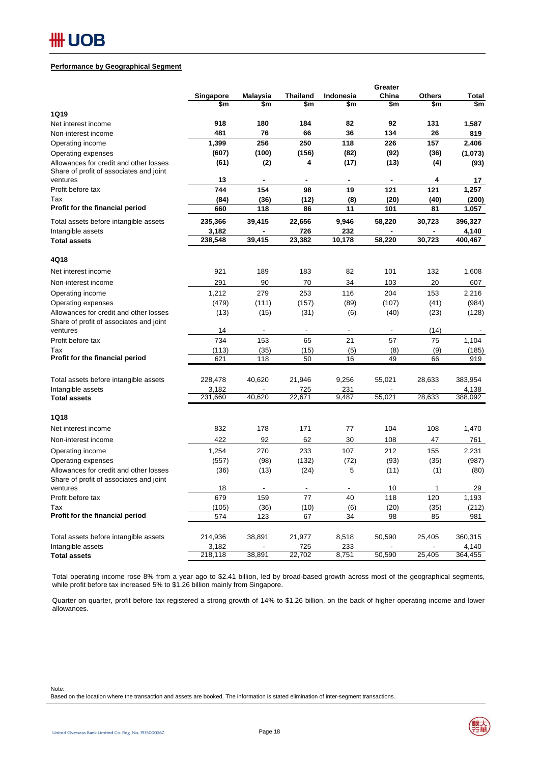#### **Performance by Geographical Segment**

|                                                                                   |                  |          |                 |              | Greater |               |                  |
|-----------------------------------------------------------------------------------|------------------|----------|-----------------|--------------|---------|---------------|------------------|
|                                                                                   | Singapore        | Malaysia | <b>Thailand</b> | Indonesia    | China   | <b>Others</b> | <b>Total</b>     |
|                                                                                   | \$m              | \$m      | \$m             | \$m          | \$m     | \$m           | \$m              |
| 1Q19                                                                              |                  |          |                 |              |         |               |                  |
| Net interest income                                                               | 918              | 180      | 184             | 82           | 92      | 131           | 1,587            |
| Non-interest income                                                               | 481              | 76       | 66              | 36           | 134     | 26            | 819              |
| Operating income                                                                  | 1,399            | 256      | 250             | 118          | 226     | 157           | 2,406            |
| Operating expenses                                                                | (607)            | (100)    | (156)           | (82)         | (92)    | (36)          | (1,073)          |
| Allowances for credit and other losses<br>Share of profit of associates and joint | (61)             | (2)      | 4               | (17)         | (13)    | (4)           | (93)             |
| ventures                                                                          | 13               |          |                 |              |         | 4             | 17               |
| Profit before tax                                                                 | 744              | 154      | 98              | 19           | 121     | 121           | 1,257            |
| Tax                                                                               | (84)             | (36)     | (12)            | (8)          | (20)    | (40)          | (200)            |
| Profit for the financial period                                                   | 660              | 118      | 86              | 11           | 101     | 81            | 1,057            |
| Total assets before intangible assets                                             | 235,366          | 39,415   | 22,656          | 9,946        | 58,220  | 30,723        | 396,327          |
| Intangible assets                                                                 | 3,182            |          | 726             | 232          |         |               | 4,140            |
| <b>Total assets</b>                                                               | 238,548          | 39,415   | 23,382          | 10,178       | 58,220  | 30,723        | 400,467          |
| 4Q18                                                                              |                  |          |                 |              |         |               |                  |
| Net interest income                                                               | 921              | 189      | 183             | 82           | 101     | 132           | 1,608            |
| Non-interest income                                                               | 291              | 90       | 70              | 34           | 103     | 20            | 607              |
| Operating income                                                                  | 1,212            | 279      | 253             | 116          | 204     | 153           | 2,216            |
| Operating expenses                                                                | (479)            | (111)    | (157)           | (89)         | (107)   | (41)          | (984)            |
| Allowances for credit and other losses                                            | (13)             | (15)     | (31)            | (6)          | (40)    | (23)          | (128)            |
| Share of profit of associates and joint                                           |                  |          |                 |              |         |               |                  |
| ventures                                                                          | 14               |          |                 |              |         | (14)          |                  |
| Profit before tax                                                                 | 734              | 153      | 65              | 21           | 57      | 75            | 1,104            |
| Tax                                                                               | (113)            | (35)     | (15)            | (5)          | (8)     | (9)           | (185)            |
| Profit for the financial period                                                   | 621              | 118      | 50              | 16           | 49      | 66            | 919              |
| Total assets before intangible assets                                             | 228,478          | 40,620   | 21,946          | 9,256        | 55,021  | 28,633        | 383,954          |
| Intangible assets                                                                 | 3,182            |          | 725             | 231          |         |               | 4,138            |
| <b>Total assets</b>                                                               | 231,660          | 40,620   | 22,671          | 9,487        | 55,021  | 28,633        | 388,092          |
| 1Q18                                                                              |                  |          |                 |              |         |               |                  |
| Net interest income                                                               | 832              | 178      | 171             | 77           | 104     | 108           | 1,470            |
| Non-interest income                                                               | 422              | 92       | 62              | 30           | 108     | 47            | 761              |
| Operating income                                                                  | 1,254            | 270      | 233             | 107          | 212     | 155           | 2,231            |
| Operating expenses                                                                | (557)            | (98)     | (132)           | (72)         | (93)    | (35)          | (987)            |
| Allowances for credit and other losses                                            | (36)             | (13)     | (24)            | 5            | (11)    | (1)           | (80)             |
| Share of profit of associates and joint                                           |                  |          |                 |              |         |               |                  |
| ventures                                                                          | 18               |          |                 |              | 10      | 1             | 29               |
| Profit before tax                                                                 | 679              | 159      | 77              | 40           | 118     | 120           | 1,193            |
| Tax                                                                               | (105)            | (36)     | (10)            | (6)          | (20)    | (35)          | (212)            |
| Profit for the financial period                                                   | 574              | 123      | 67              | 34           | 98      | 85            | 981              |
| Total assets before intangible assets                                             |                  | 38,891   |                 |              | 50,590  |               |                  |
| Intangible assets                                                                 | 214,936<br>3,182 |          | 21,977<br>725   | 8,518<br>233 |         | 25,405        | 360,315<br>4,140 |
| <b>Total assets</b>                                                               | 218,118          | 38,891   | 22,702          | 8,751        | 50,590  | 25,405        | 364,455          |

Total operating income rose 8% from a year ago to \$2.41 billion, led by broad-based growth across most of the geographical segments, while profit before tax increased 5% to \$1.26 billion mainly from Singapore.

Quarter on quarter, profit before tax registered a strong growth of 14% to \$1.26 billion, on the back of higher operating income and lower allowances.

Note:

Based on the location where the transaction and assets are booked. The information is stated elimination of inter-segment transactions.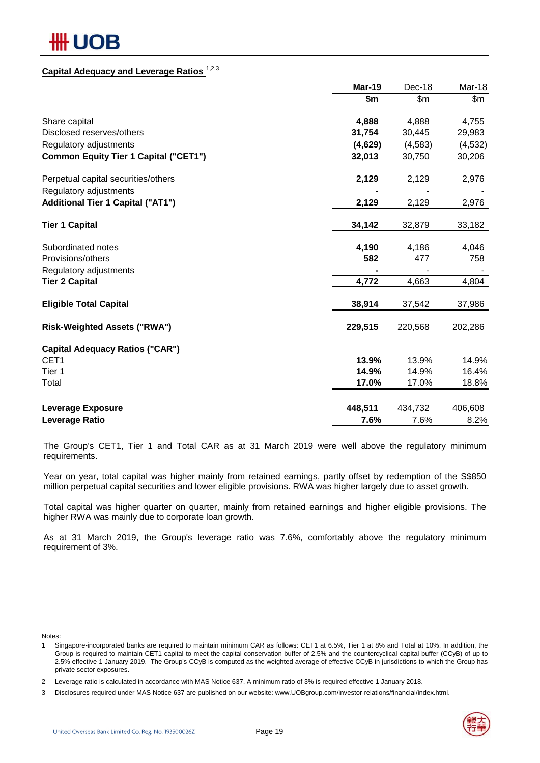# ₩ UOB

# **Capital Adequacy and Leverage Ratios** 1,2,3

|                                              | <b>Mar-19</b> | Dec-18   | Mar-18   |
|----------------------------------------------|---------------|----------|----------|
|                                              | \$m           | \$m      | \$m\$    |
| Share capital                                | 4,888         | 4,888    | 4,755    |
| Disclosed reserves/others                    | 31,754        | 30,445   | 29,983   |
| Regulatory adjustments                       | (4,629)       | (4, 583) | (4, 532) |
| <b>Common Equity Tier 1 Capital ("CET1")</b> | 32,013        | 30,750   | 30,206   |
| Perpetual capital securities/others          | 2,129         | 2,129    | 2,976    |
| Regulatory adjustments                       |               |          |          |
| <b>Additional Tier 1 Capital ("AT1")</b>     | 2,129         | 2,129    | 2,976    |
| <b>Tier 1 Capital</b>                        | 34,142        | 32,879   | 33,182   |
| Subordinated notes                           | 4,190         | 4,186    | 4,046    |
| Provisions/others                            | 582           | 477      | 758      |
| Regulatory adjustments                       |               |          |          |
| <b>Tier 2 Capital</b>                        | 4,772         | 4,663    | 4,804    |
| <b>Eligible Total Capital</b>                | 38,914        | 37,542   | 37,986   |
| <b>Risk-Weighted Assets ("RWA")</b>          | 229,515       | 220,568  | 202,286  |
| <b>Capital Adequacy Ratios ("CAR")</b>       |               |          |          |
| CET1                                         | 13.9%         | 13.9%    | 14.9%    |
| Tier 1                                       | 14.9%         | 14.9%    | 16.4%    |
| Total                                        | 17.0%         | 17.0%    | 18.8%    |
| <b>Leverage Exposure</b>                     | 448,511       | 434,732  | 406,608  |
| Leverage Ratio                               | 7.6%          | 7.6%     | 8.2%     |

The Group's CET1, Tier 1 and Total CAR as at 31 March 2019 were well above the regulatory minimum requirements.

Year on year, total capital was higher mainly from retained earnings, partly offset by redemption of the S\$850 million perpetual capital securities and lower eligible provisions. RWA was higher largely due to asset growth.

Total capital was higher quarter on quarter, mainly from retained earnings and higher eligible provisions. The higher RWA was mainly due to corporate loan growth.

As at 31 March 2019, the Group's leverage ratio was 7.6%, comfortably above the regulatory minimum requirement of 3%.

Notes:

1 Singapore-incorporated banks are required to maintain minimum CAR as follows: CET1 at 6.5%, Tier 1 at 8% and Total at 10%. In addition, the Group is required to maintain CET1 capital to meet the capital conservation buffer of 2.5% and the countercyclical capital buffer (CCyB) of up to 2.5% effective 1 January 2019. The Group's CCyB is computed as the weighted average of effective CCyB in jurisdictions to which the Group has private sector exposures.

2 Leverage ratio is calculated in accordance with MAS Notice 637. A minimum ratio of 3% is required effective 1 January 2018.

3 Disclosures required under MAS Notice 637 are published on our website: www.UOBgroup.com/investor-relations/financial/index.html.

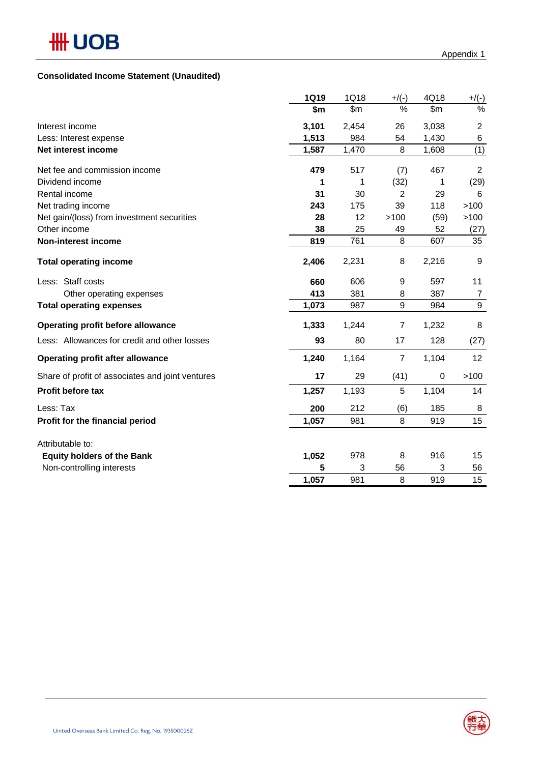|                                                  | 1Q19  | 1Q18  | $+/(-)$ | 4Q18      | $+/(-)$        |
|--------------------------------------------------|-------|-------|---------|-----------|----------------|
|                                                  | \$m   | \$m\$ | %       | \$m       | %              |
| Interest income                                  | 3,101 | 2,454 | 26      | 3,038     | $\overline{c}$ |
| Less: Interest expense                           | 1,513 | 984   | 54      | 1,430     | 6              |
| Net interest income                              | 1,587 | 1,470 | 8       | 1,608     | (1)            |
| Net fee and commission income                    | 479   | 517   | (7)     | 467       | $\overline{2}$ |
| Dividend income                                  | 1     |       | (32)    |           | (29)           |
| Rental income                                    | 31    | 30    | 2       | 29        | 6              |
| Net trading income                               | 243   | 175   | 39      | 118       | >100           |
| Net gain/(loss) from investment securities       | 28    | 12    | >100    | (59)      | >100           |
| Other income                                     | 38    | 25    | 49      | 52        | (27)           |
| <b>Non-interest income</b>                       | 819   | 761   | 8       | 607       | 35             |
| <b>Total operating income</b>                    | 2,406 | 2,231 | 8       | 2,216     | 9              |
| Less: Staff costs                                | 660   | 606   | 9       | 597       | 11             |
| Other operating expenses                         | 413   | 381   | 8       | 387       | 7              |
| <b>Total operating expenses</b>                  | 1,073 | 987   | 9       | 984       | 9              |
| Operating profit before allowance                | 1,333 | 1,244 | 7       | 1,232     | 8              |
| Less: Allowances for credit and other losses     | 93    | 80    | 17      | 128       | (27)           |
| <b>Operating profit after allowance</b>          | 1,240 | 1,164 | 7       | 1,104     | 12             |
| Share of profit of associates and joint ventures | 17    | 29    | (41)    | $\pmb{0}$ | >100           |

# **Profit before tax 1,257** 1,193 5 1,104 14

| Less: Tax                         | 200   | 212 | (6) | 185 | 8  |
|-----------------------------------|-------|-----|-----|-----|----|
| Profit for the financial period   | 1.057 | 981 |     | 919 | 15 |
| Attributable to:                  |       |     |     |     |    |
| <b>Equity holders of the Bank</b> | 1.052 | 978 |     | 916 | 15 |
| Non-controlling interests         |       |     | 56  |     | 56 |





 **1,057** 981 8 919 15

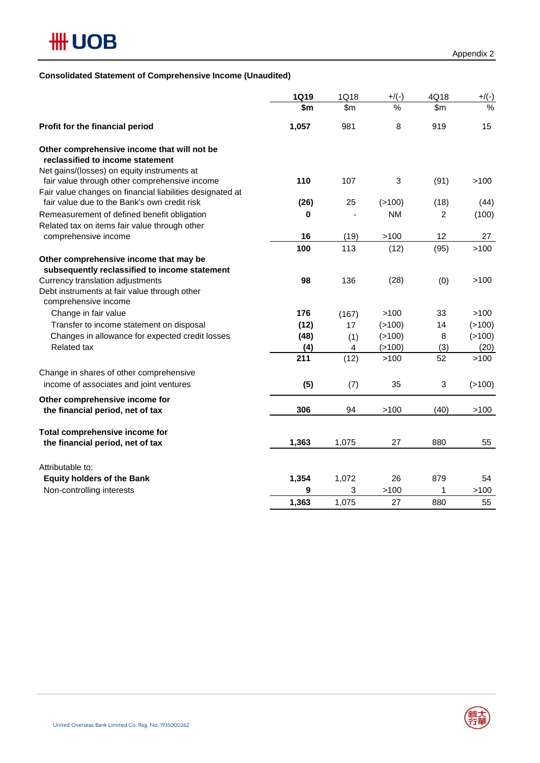

# **Consolidated Statement of Comprehensive Income (Unaudited)**

|                                                                                                           | <b>1Q19</b> | 1Q18  | $+$ /(-)      | 4Q18           | $+/(-)$       |
|-----------------------------------------------------------------------------------------------------------|-------------|-------|---------------|----------------|---------------|
|                                                                                                           | \$m         | \$m\$ | $\frac{1}{2}$ | \$m\$          | $\frac{1}{2}$ |
| Profit for the financial period                                                                           | 1,057       | 981   | 8             | 919            | 15            |
| Other comprehensive income that will not be<br>reclassified to income statement                           |             |       |               |                |               |
| Net gains/(losses) on equity instruments at<br>fair value through other comprehensive income              | 110         | 107   | $\sqrt{3}$    | (91)           | >100          |
| Fair value changes on financial liabilities designated at<br>fair value due to the Bank's own credit risk | (26)        | 25    | (>100)        | (18)           | (44)          |
| Remeasurement of defined benefit obligation<br>Related tax on items fair value through other              | 0           |       | <b>NM</b>     | $\overline{2}$ | (100)         |
| comprehensive income                                                                                      | 16          | (19)  | >100          | 12             | 27            |
|                                                                                                           | 100         | 113   | (12)          | (95)           | >100          |
| Other comprehensive income that may be<br>subsequently reclassified to income statement                   |             |       |               |                |               |
| Currency translation adjustments<br>Debt instruments at fair value through other<br>comprehensive income  | 98          | 136   | (28)          | (0)            | >100          |
| Change in fair value                                                                                      | 176         | (167) | >100          | 33             | >100          |
| Transfer to income statement on disposal                                                                  | (12)        | 17    | (>100)        | 14             | ( > 100)      |
| Changes in allowance for expected credit losses                                                           | (48)        | (1)   | (>100)        | 8              | (>100)        |
| <b>Related tax</b>                                                                                        | (4)         | 4     | (>100)        | (3)            | (20)          |
|                                                                                                           | 211         | (12)  | >100          | 52             | >100          |
| Change in shares of other comprehensive<br>income of associates and joint ventures                        | (5)         | (7)   | 35            | 3              | ( > 100)      |
| Other comprehensive income for                                                                            |             |       |               |                |               |
| the financial period, net of tax                                                                          | 306         | 94    | >100          | (40)           | >100          |
| Total comprehensive income for                                                                            |             |       |               |                |               |
| the financial period, net of tax                                                                          | 1,363       | 1,075 | 27            | 880            | 55            |
| Attributable to:                                                                                          |             |       |               |                |               |
| <b>Equity holders of the Bank</b>                                                                         | 1,354       | 1,072 | 26            | 879            | 54            |
| Non-controlling interests                                                                                 | 9           | 3     | >100          | 1              | >100          |
|                                                                                                           | 1,363       | 1,075 | 27            | 880            | 55            |

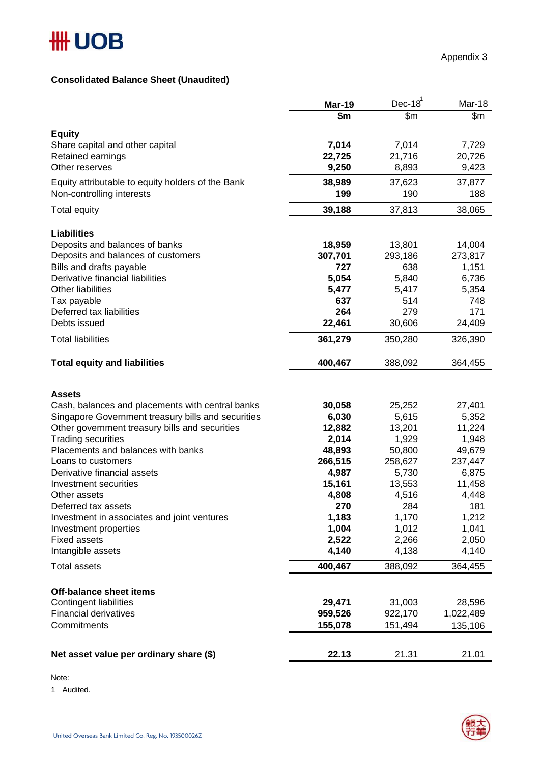# **Consolidated Balance Sheet (Unaudited)**

|                                                          | <b>Mar-19</b>          | Dec- $18^1$      | Mar-18           |
|----------------------------------------------------------|------------------------|------------------|------------------|
|                                                          | $\overline{\text{sm}}$ | \$m              | $\overline{\$m}$ |
| <b>Equity</b>                                            |                        |                  |                  |
| Share capital and other capital                          | 7,014                  | 7,014            | 7,729            |
| Retained earnings                                        | 22,725                 | 21,716           | 20,726           |
| Other reserves                                           | 9,250                  | 8,893            | 9,423            |
| Equity attributable to equity holders of the Bank        | 38,989                 | 37,623           | 37,877           |
| Non-controlling interests                                | 199                    | 190              | 188              |
| <b>Total equity</b>                                      | 39,188                 | 37,813           | 38,065           |
| <b>Liabilities</b>                                       |                        |                  |                  |
| Deposits and balances of banks                           | 18,959                 | 13,801           | 14,004           |
| Deposits and balances of customers                       | 307,701                | 293,186          | 273,817          |
| Bills and drafts payable                                 | 727                    | 638              | 1,151            |
| Derivative financial liabilities                         | 5,054                  | 5,840            | 6,736            |
| <b>Other liabilities</b>                                 | 5,477                  | 5,417            | 5,354            |
| Tax payable                                              | 637                    | 514              | 748              |
| Deferred tax liabilities                                 | 264                    | 279              | 171              |
| Debts issued                                             | 22,461                 | 30,606           | 24,409           |
| <b>Total liabilities</b>                                 | 361,279                | 350,280          | 326,390          |
| <b>Total equity and liabilities</b>                      | 400,467                | 388,092          | 364,455          |
| <b>Assets</b>                                            |                        |                  |                  |
| Cash, balances and placements with central banks         | 30,058                 | 25,252           | 27,401           |
| Singapore Government treasury bills and securities       | 6,030                  | 5,615            | 5,352            |
| Other government treasury bills and securities           | 12,882                 | 13,201           | 11,224           |
| <b>Trading securities</b>                                | 2,014                  | 1,929            | 1,948            |
| Placements and balances with banks<br>Loans to customers | 48,893                 | 50,800           | 49,679           |
| Derivative financial assets                              | 266,515<br>4,987       | 258,627<br>5,730 | 237,447<br>6,875 |
| Investment securities                                    | 15,161                 | 13,553           | 11,458           |
| Other assets                                             | 4,808                  | 4,516            | 4,448            |
| Deferred tax assets                                      | 270                    | 284              | 181              |
| Investment in associates and joint ventures              | 1,183                  | 1,170            | 1,212            |
| Investment properties                                    | 1,004                  | 1,012            | 1,041            |
| <b>Fixed assets</b>                                      | 2,522                  | 2,266            | 2,050            |
| Intangible assets                                        | 4,140                  | 4,138            | 4,140            |
| <b>Total assets</b>                                      | 400,467                | 388,092          | 364,455          |
| <b>Off-balance sheet items</b>                           |                        |                  |                  |
| Contingent liabilities                                   | 29,471                 | 31,003           | 28,596           |
| <b>Financial derivatives</b>                             | 959,526                | 922,170          | 1,022,489        |
| Commitments                                              | 155,078                | 151,494          | 135,106          |
|                                                          |                        |                  |                  |
| Net asset value per ordinary share (\$)                  | 22.13                  | 21.31            | 21.01            |

### Note:

1 Audited.

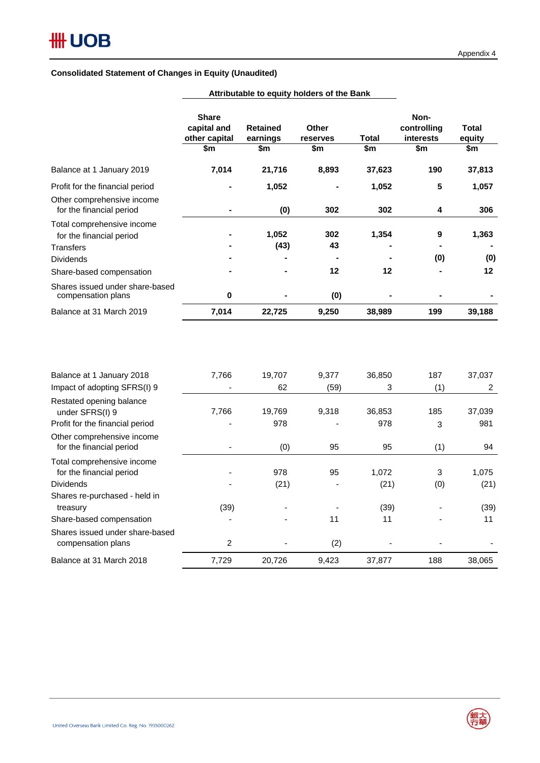|                                                        | <b>Share</b><br>capital and<br>other capital<br>\$m | <b>Retained</b><br>earnings<br>\$m | Other<br>reserves<br>\$m | Total<br>\$m | Non-<br>controlling<br><i>interests</i><br>\$m | <b>Total</b><br>equity<br>\$m |
|--------------------------------------------------------|-----------------------------------------------------|------------------------------------|--------------------------|--------------|------------------------------------------------|-------------------------------|
|                                                        |                                                     |                                    |                          |              |                                                |                               |
| Balance at 1 January 2019                              | 7,014                                               | 21,716                             | 8,893                    | 37,623       | 190                                            | 37,813                        |
| Profit for the financial period                        |                                                     | 1,052                              |                          | 1,052        | 5                                              | 1,057                         |
| Other comprehensive income<br>for the financial period |                                                     | (0)                                | 302                      | 302          | 4                                              | 306                           |
| Total comprehensive income<br>for the financial period |                                                     | 1,052                              | 302                      | 1,354        | 9                                              | 1,363                         |
| Transfers                                              |                                                     | (43)                               | 43                       |              |                                                |                               |
| <b>Dividends</b>                                       |                                                     |                                    |                          |              | (0)                                            | (0)                           |
| Share-based compensation                               |                                                     |                                    | 12                       | 12           |                                                | 12                            |
| Shares issued under share-based<br>compensation plans  | $\mathbf 0$                                         |                                    | (0)                      |              |                                                |                               |
| Balance at 31 March 2019                               | 7,014                                               | 22,725                             | 9,250                    | 38,989       | 199                                            | 39,188                        |

**Attributable to equity holders of the Bank**

| Balance at 1 January 2018                              | 7,766 | 19,707 | 9,377 | 36,850 | 187 | 37,037 |
|--------------------------------------------------------|-------|--------|-------|--------|-----|--------|
| Impact of adopting SFRS(I) 9                           |       | 62     | (59)  | 3      | (1) | 2      |
| Restated opening balance<br>under SFRS(I) 9            | 7,766 | 19,769 | 9,318 | 36,853 | 185 | 37,039 |
| Profit for the financial period                        |       | 978    |       | 978    | 3   | 981    |
| Other comprehensive income<br>for the financial period |       | (0)    | 95    | 95     | (1) | 94     |
| Total comprehensive income<br>for the financial period |       | 978    | 95    | 1,072  | 3   | 1,075  |
| <b>Dividends</b>                                       |       | (21)   |       | (21)   | (0) | (21)   |
| Shares re-purchased - held in                          |       |        |       |        |     |        |
| treasury                                               | (39)  |        |       | (39)   |     | (39)   |
| Share-based compensation                               |       |        | 11    | 11     |     | 11     |
| Shares issued under share-based<br>compensation plans  | 2     |        | (2)   |        |     |        |
| Balance at 31 March 2018                               | 7,729 | 20,726 | 9,423 | 37,877 | 188 | 38,065 |

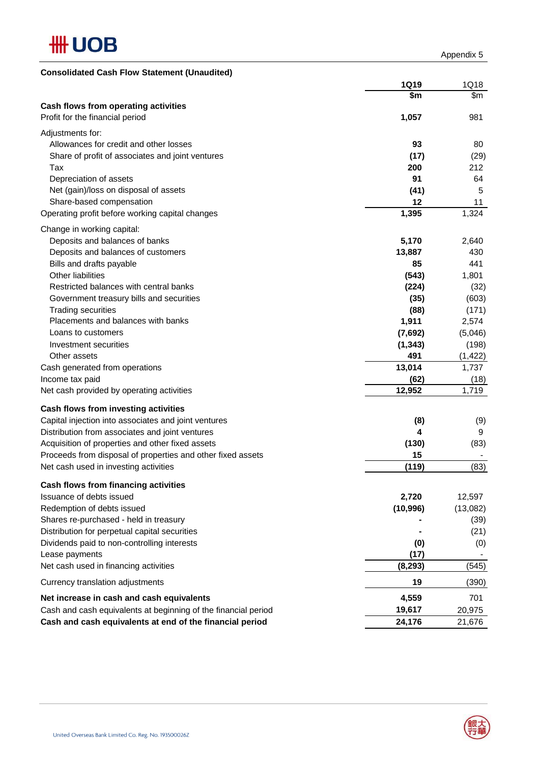

Appendix 5

| <b>Consolidated Cash Flow Statement (Unaudited)</b>            |             |          |
|----------------------------------------------------------------|-------------|----------|
|                                                                | <b>1Q19</b> | 1Q18     |
|                                                                | \$m         | \$m      |
| Cash flows from operating activities                           |             |          |
| Profit for the financial period                                | 1,057       | 981      |
| Adjustments for:                                               |             |          |
| Allowances for credit and other losses                         | 93          | 80       |
| Share of profit of associates and joint ventures               | (17)        | (29)     |
| Tax                                                            | 200         | 212      |
| Depreciation of assets                                         | 91          | 64       |
| Net (gain)/loss on disposal of assets                          | (41)        | 5        |
| Share-based compensation                                       | 12          | 11       |
| Operating profit before working capital changes                | 1,395       | 1,324    |
| Change in working capital:                                     |             |          |
| Deposits and balances of banks                                 | 5,170       | 2,640    |
| Deposits and balances of customers                             | 13,887      | 430      |
| Bills and drafts payable                                       | 85          | 441      |
| Other liabilities                                              | (543)       | 1,801    |
| Restricted balances with central banks                         | (224)       | (32)     |
| Government treasury bills and securities                       | (35)        | (603)    |
| <b>Trading securities</b>                                      | (88)        | (171)    |
| Placements and balances with banks                             | 1,911       | 2,574    |
| Loans to customers                                             | (7,692)     | (5,046)  |
| Investment securities                                          | (1, 343)    | (198)    |
| Other assets                                                   | 491         | (1, 422) |
| Cash generated from operations                                 | 13,014      | 1,737    |
| Income tax paid                                                | (62)        | (18)     |
| Net cash provided by operating activities                      | 12,952      | 1,719    |
| Cash flows from investing activities                           |             |          |
| Capital injection into associates and joint ventures           | (8)         | (9)      |
| Distribution from associates and joint ventures                | 4           | 9        |
| Acquisition of properties and other fixed assets               | (130)       | (83)     |
| Proceeds from disposal of properties and other fixed assets    | 15          |          |
| Net cash used in investing activities                          | (119)       | (83)     |
| Cash flows from financing activities                           |             |          |
| Issuance of debts issued                                       | 2,720       | 12,597   |
| Redemption of debts issued                                     | (10, 996)   | (13,082) |
| Shares re-purchased - held in treasury                         |             | (39)     |
| Distribution for perpetual capital securities                  |             | (21)     |
| Dividends paid to non-controlling interests                    | (0)         | (0)      |
| Lease payments                                                 | (17)        |          |
| Net cash used in financing activities                          | (8, 293)    | (545)    |
| Currency translation adjustments                               | 19          | (390)    |
| Net increase in cash and cash equivalents                      | 4,559       | 701      |
| Cash and cash equivalents at beginning of the financial period | 19,617      | 20,975   |
| Cash and cash equivalents at end of the financial period       | 24,176      | 21,676   |

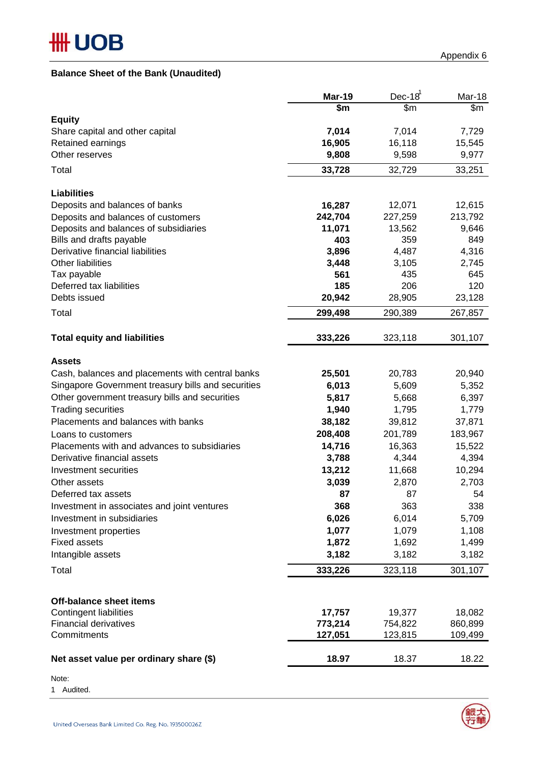# **Balance Sheet of the Bank (Unaudited)**

|                                                    | <b>Mar-19</b>      | $Dec-18^1$         | Mar-18             |
|----------------------------------------------------|--------------------|--------------------|--------------------|
|                                                    | \$m                | \$m                | \$m                |
| <b>Equity</b><br>Share capital and other capital   | 7,014              | 7,014              | 7,729              |
| Retained earnings                                  | 16,905             | 16,118             | 15,545             |
| Other reserves                                     | 9,808              | 9,598              | 9,977              |
| Total                                              | 33,728             | 32,729             | 33,251             |
| <b>Liabilities</b>                                 |                    |                    |                    |
| Deposits and balances of banks                     | 16,287             | 12,071             | 12,615             |
| Deposits and balances of customers                 | 242,704            | 227,259            | 213,792            |
| Deposits and balances of subsidiaries              | 11,071             | 13,562             | 9,646              |
| Bills and drafts payable                           | 403                | 359                | 849                |
| Derivative financial liabilities                   | 3,896              | 4,487              | 4,316              |
| <b>Other liabilities</b>                           | 3,448              | 3,105              | 2,745              |
| Tax payable                                        | 561                | 435                | 645                |
| Deferred tax liabilities                           | 185                | 206                | 120                |
| Debts issued                                       | 20,942             | 28,905             | 23,128             |
| Total                                              | 299,498            | 290,389            | 267,857            |
| <b>Total equity and liabilities</b>                | 333,226            | 323,118            | 301,107            |
| <b>Assets</b>                                      |                    |                    |                    |
| Cash, balances and placements with central banks   | 25,501             | 20,783             | 20,940             |
| Singapore Government treasury bills and securities | 6,013              | 5,609              | 5,352              |
| Other government treasury bills and securities     | 5,817              | 5,668              | 6,397              |
| <b>Trading securities</b>                          | 1,940              | 1,795              | 1,779              |
| Placements and balances with banks                 | 38,182             | 39,812             | 37,871             |
| Loans to customers                                 | 208,408            | 201,789            | 183,967            |
| Placements with and advances to subsidiaries       | 14,716             | 16,363             | 15,522             |
| Derivative financial assets                        | 3,788              | 4,344              | 4,394              |
| Investment securities                              | 13,212             | 11,668             | 10,294             |
| Other assets                                       | 3,039              | 2,870              | 2,703              |
| Deferred tax assets                                | 87                 | 87                 | 54                 |
| Investment in associates and joint ventures        | 368                | 363                | 338                |
| Investment in subsidiaries                         | 6,026              | 6,014              | 5,709              |
| Investment properties                              | 1,077              | 1,079              | 1,108              |
| <b>Fixed assets</b>                                | 1,872              | 1,692              | 1,499              |
| Intangible assets                                  | 3,182              | 3,182              | 3,182              |
| Total                                              | 333,226            | 323,118            | 301,107            |
|                                                    |                    |                    |                    |
| Off-balance sheet items                            |                    |                    |                    |
| <b>Contingent liabilities</b>                      | 17,757             | 19,377             | 18,082             |
| <b>Financial derivatives</b><br>Commitments        | 773,214<br>127,051 | 754,822<br>123,815 | 860,899<br>109,499 |
|                                                    |                    |                    |                    |
| Net asset value per ordinary share (\$)            | 18.97              | 18.37              | 18.22              |

Note:

1 Audited.